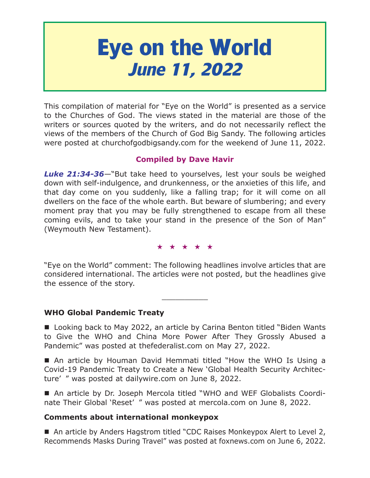# **Eye on the World June 11, 2022**

This compilation of material for "Eye on the World" is presented as a service to the Churches of God. The views stated in the material are those of the writers or sources quoted by the writers, and do not necessarily reflect the views of the members of the Church of God Big Sandy. The following articles were posted at churchofgodbigsandy.com for the weekend of June 11, 2022.

# **Compiled by Dave Havir**

*Luke 21:34-36*—"But take heed to yourselves, lest your souls be weighed down with self-indulgence, and drunkenness, or the anxieties of this life, and that day come on you suddenly, like a falling trap; for it will come on all dwellers on the face of the whole earth. But beware of slumbering; and every moment pray that you may be fully strengthened to escape from all these coming evils, and to take your stand in the presence of the Son of Man" (Weymouth New Testament).

## ★★★★★

"Eye on the World" comment: The following headlines involve articles that are considered international. The articles were not posted, but the headlines give the essence of the story.

 $\overline{\phantom{a}}$  , where  $\overline{\phantom{a}}$ 

# **WHO Global Pandemic Treaty**

■ Looking back to May 2022, an article by Carina Benton titled "Biden Wants to Give the WHO and China More Power After They Grossly Abused a Pandemic" was posted at thefederalist.com on May 27, 2022.

 An article by Houman David Hemmati titled "How the WHO Is Using a Covid-19 Pandemic Treaty to Create a New 'Global Health Security Architecture' " was posted at dailywire.com on June 8, 2022.

■ An article by Dr. Joseph Mercola titled "WHO and WEF Globalists Coordinate Their Global 'Reset' " was posted at mercola.com on June 8, 2022.

## **Comments about international monkeypox**

■ An article by Anders Hagstrom titled "CDC Raises Monkeypox Alert to Level 2, Recommends Masks During Travel" was posted at foxnews.com on June 6, 2022.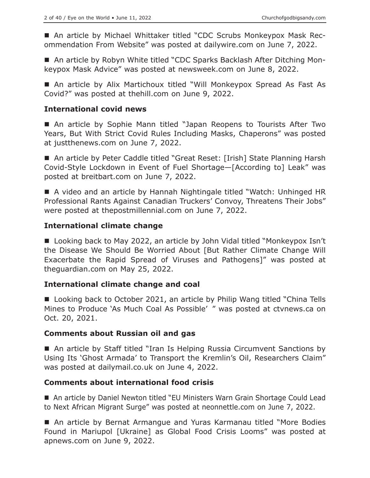An article by Michael Whittaker titled "CDC Scrubs Monkeypox Mask Recommendation From Website" was posted at dailywire.com on June 7, 2022.

■ An article by Robyn White titled "CDC Sparks Backlash After Ditching Monkeypox Mask Advice" was posted at newsweek.com on June 8, 2022.

 An article by Alix Martichoux titled "Will Monkeypox Spread As Fast As Covid?" was posted at thehill.com on June 9, 2022.

## **International covid news**

 An article by Sophie Mann titled "Japan Reopens to Tourists After Two Years, But With Strict Covid Rules Including Masks, Chaperons" was posted at justthenews.com on June 7, 2022.

■ An article by Peter Caddle titled "Great Reset: [Irish] State Planning Harsh Covid-Style Lockdown in Event of Fuel Shortage—[According to] Leak" was posted at breitbart.com on June 7, 2022.

 A video and an article by Hannah Nightingale titled "Watch: Unhinged HR Professional Rants Against Canadian Truckers' Convoy, Threatens Their Jobs" were posted at thepostmillennial.com on June 7, 2022.

## **International climate change**

■ Looking back to May 2022, an article by John Vidal titled "Monkeypox Isn't the Disease We Should Be Worried About [But Rather Climate Change Will Exacerbate the Rapid Spread of Viruses and Pathogens]" was posted at theguardian.com on May 25, 2022.

## **International climate change and coal**

■ Looking back to October 2021, an article by Philip Wang titled "China Tells Mines to Produce 'As Much Coal As Possible' " was posted at ctvnews.ca on Oct. 20, 2021.

## **Comments about Russian oil and gas**

■ An article by Staff titled "Iran Is Helping Russia Circumvent Sanctions by Using Its 'Ghost Armada' to Transport the Kremlin's Oil, Researchers Claim" was posted at dailymail.co.uk on June 4, 2022.

# **Comments about international food crisis**

■ An article by Daniel Newton titled "EU Ministers Warn Grain Shortage Could Lead to Next African Migrant Surge" was posted at neonnettle.com on June 7, 2022.

■ An article by Bernat Armangue and Yuras Karmanau titled "More Bodies Found in Mariupol [Ukraine] as Global Food Crisis Looms" was posted at apnews.com on June 9, 2022.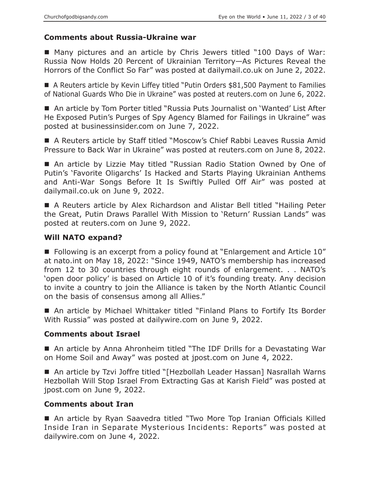# **Comments about Russia-Ukraine war**

■ Many pictures and an article by Chris Jewers titled "100 Days of War: Russia Now Holds 20 Percent of Ukrainian Territory—As Pictures Reveal the Horrors of the Conflict So Far" was posted at dailymail.co.uk on June 2, 2022.

 A Reuters article by Kevin Liffey titled "Putin Orders \$81,500 Payment to Families of National Guards Who Die in Ukraine" was posted at reuters.com on June 6, 2022.

■ An article by Tom Porter titled "Russia Puts Journalist on 'Wanted' List After He Exposed Putin's Purges of Spy Agency Blamed for Failings in Ukraine" was posted at businessinsider.com on June 7, 2022.

■ A Reuters article by Staff titled "Moscow's Chief Rabbi Leaves Russia Amid Pressure to Back War in Ukraine" was posted at reuters.com on June 8, 2022.

■ An article by Lizzie May titled "Russian Radio Station Owned by One of Putin's 'Favorite Oligarchs' Is Hacked and Starts Playing Ukrainian Anthems and Anti-War Songs Before It Is Swiftly Pulled Off Air" was posted at dailymail.co.uk on June 9, 2022.

 A Reuters article by Alex Richardson and Alistar Bell titled "Hailing Peter the Great, Putin Draws Parallel With Mission to 'Return' Russian Lands" was posted at reuters.com on June 9, 2022.

#### **Will NATO expand?**

■ Following is an excerpt from a policy found at "Enlargement and Article 10" at nato.int on May 18, 2022: "Since 1949, NATO's membership has increased from 12 to 30 countries through eight rounds of enlargement. . . NATO's 'open door policy' is based on Article 10 of it's founding treaty. Any decision to invite a country to join the Alliance is taken by the North Atlantic Council on the basis of consensus among all Allies."

 An article by Michael Whittaker titled "Finland Plans to Fortify Its Border With Russia" was posted at dailywire.com on June 9, 2022.

## **Comments about Israel**

■ An article by Anna Ahronheim titled "The IDF Drills for a Devastating War on Home Soil and Away" was posted at jpost.com on June 4, 2022.

■ An article by Tzvi Joffre titled "[Hezbollah Leader Hassan] Nasrallah Warns Hezbollah Will Stop Israel From Extracting Gas at Karish Field" was posted at jpost.com on June 9, 2022.

# **Comments about Iran**

■ An article by Ryan Saavedra titled "Two More Top Iranian Officials Killed Inside Iran in Separate Mysterious Incidents: Reports" was posted at dailywire.com on June 4, 2022.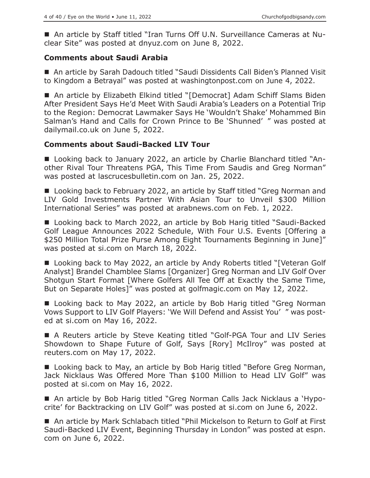An article by Staff titled "Iran Turns Off U.N. Surveillance Cameras at Nuclear Site" was posted at dnyuz.com on June 8, 2022.

## **Comments about Saudi Arabia**

■ An article by Sarah Dadouch titled "Saudi Dissidents Call Biden's Planned Visit to Kingdom a Betrayal" was posted at washingtonpost.com on June 4, 2022.

■ An article by Elizabeth Elkind titled "[Democrat] Adam Schiff Slams Biden After President Says He'd Meet With Saudi Arabia's Leaders on a Potential Trip to the Region: Democrat Lawmaker Says He 'Wouldn't Shake' Mohammed Bin Salman's Hand and Calls for Crown Prince to Be 'Shunned' " was posted at dailymail.co.uk on June 5, 2022.

## **Comments about Saudi-Backed LIV Tour**

■ Looking back to January 2022, an article by Charlie Blanchard titled "Another Rival Tour Threatens PGA, This Time From Saudis and Greg Norman" was posted at lascrucesbulletin.com on Jan. 25, 2022.

■ Looking back to February 2022, an article by Staff titled "Greg Norman and LIV Gold Investments Partner With Asian Tour to Unveil \$300 Million International Series" was posted at arabnews.com on Feb. 1, 2022.

■ Looking back to March 2022, an article by Bob Harig titled "Saudi-Backed Golf League Announces 2022 Schedule, With Four U.S. Events [Offering a \$250 Million Total Prize Purse Among Eight Tournaments Beginning in June]" was posted at si.com on March 18, 2022.

■ Looking back to May 2022, an article by Andy Roberts titled "[Veteran Golf Analyst] Brandel Chamblee Slams [Organizer] Greg Norman and LIV Golf Over Shotgun Start Format [Where Golfers All Tee Off at Exactly the Same Time, But on Separate Holes]" was posted at golfmagic.com on May 12, 2022.

■ Looking back to May 2022, an article by Bob Harig titled "Greg Norman Vows Support to LIV Golf Players: 'We Will Defend and Assist You' " was posted at si.com on May 16, 2022.

■ A Reuters article by Steve Keating titled "Golf-PGA Tour and LIV Series Showdown to Shape Future of Golf, Says [Rory] McIlroy" was posted at reuters.com on May 17, 2022.

■ Looking back to May, an article by Bob Harig titled "Before Greg Norman, Jack Nicklaus Was Offered More Than \$100 Million to Head LIV Golf" was posted at si.com on May 16, 2022.

 An article by Bob Harig titled "Greg Norman Calls Jack Nicklaus a 'Hypocrite' for Backtracking on LIV Golf" was posted at si.com on June 6, 2022.

■ An article by Mark Schlabach titled "Phil Mickelson to Return to Golf at First Saudi-Backed LIV Event, Beginning Thursday in London" was posted at espn. com on June 6, 2022.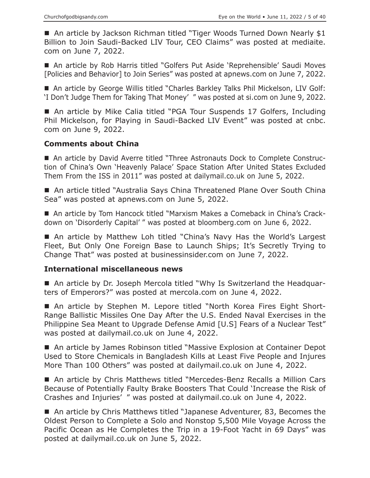■ An article by Jackson Richman titled "Tiger Woods Turned Down Nearly \$1 Billion to Join Saudi-Backed LIV Tour, CEO Claims" was posted at mediaite. com on June 7, 2022.

■ An article by Rob Harris titled "Golfers Put Aside 'Reprehensible' Saudi Moves [Policies and Behavior] to Join Series" was posted at apnews.com on June 7, 2022.

 An article by George Willis titled "Charles Barkley Talks Phil Mickelson, LIV Golf: 'I Don't Judge Them for Taking That Money' " was posted at si.com on June 9, 2022.

■ An article by Mike Calia titled "PGA Tour Suspends 17 Golfers, Including Phil Mickelson, for Playing in Saudi-Backed LIV Event" was posted at cnbc. com on June 9, 2022.

## **Comments about China**

 An article by David Averre titled "Three Astronauts Dock to Complete Construction of China's Own 'Heavenly Palace' Space Station After United States Excluded Them From the ISS in 2011" was posted at dailymail.co.uk on June 5, 2022.

■ An article titled "Australia Says China Threatened Plane Over South China Sea" was posted at apnews.com on June 5, 2022.

 An article by Tom Hancock titled "Marxism Makes a Comeback in China's Crackdown on 'Disorderly Capital' " was posted at bloomberg.com on June 6, 2022.

■ An article by Matthew Loh titled "China's Navy Has the World's Largest Fleet, But Only One Foreign Base to Launch Ships; It's Secretly Trying to Change That" was posted at businessinsider.com on June 7, 2022.

#### **International miscellaneous news**

■ An article by Dr. Joseph Mercola titled "Why Is Switzerland the Headquarters of Emperors?" was posted at mercola.com on June 4, 2022.

 An article by Stephen M. Lepore titled "North Korea Fires Eight Short-Range Ballistic Missiles One Day After the U.S. Ended Naval Exercises in the Philippine Sea Meant to Upgrade Defense Amid [U.S] Fears of a Nuclear Test" was posted at dailymail.co.uk on June 4, 2022.

■ An article by James Robinson titled "Massive Explosion at Container Depot Used to Store Chemicals in Bangladesh Kills at Least Five People and Injures More Than 100 Others" was posted at dailymail.co.uk on June 4, 2022.

■ An article by Chris Matthews titled "Mercedes-Benz Recalls a Million Cars Because of Potentially Faulty Brake Boosters That Could 'Increase the Risk of Crashes and Injuries' " was posted at dailymail.co.uk on June 4, 2022.

■ An article by Chris Matthews titled "Japanese Adventurer, 83, Becomes the Oldest Person to Complete a Solo and Nonstop 5,500 Mile Voyage Across the Pacific Ocean as He Completes the Trip in a 19-Foot Yacht in 69 Days" was posted at dailymail.co.uk on June 5, 2022.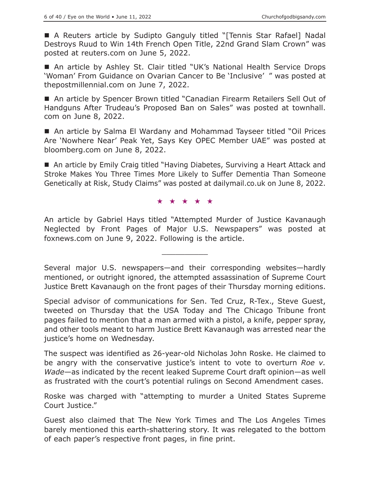A Reuters article by Sudipto Ganguly titled "[Tennis Star Rafael] Nadal Destroys Ruud to Win 14th French Open Title, 22nd Grand Slam Crown" was posted at reuters.com on June 5, 2022.

■ An article by Ashley St. Clair titled "UK's National Health Service Drops 'Woman' From Guidance on Ovarian Cancer to Be 'Inclusive' " was posted at thepostmillennial.com on June 7, 2022.

■ An article by Spencer Brown titled "Canadian Firearm Retailers Sell Out of Handguns After Trudeau's Proposed Ban on Sales" was posted at townhall. com on June 8, 2022.

 An article by Salma El Wardany and Mohammad Tayseer titled "Oil Prices Are 'Nowhere Near' Peak Yet, Says Key OPEC Member UAE" was posted at bloomberg.com on June 8, 2022.

■ An article by Emily Craig titled "Having Diabetes, Surviving a Heart Attack and Stroke Makes You Three Times More Likely to Suffer Dementia Than Someone Genetically at Risk, Study Claims" was posted at dailymail.co.uk on June 8, 2022.

★★★★★

An article by Gabriel Hays titled "Attempted Murder of Justice Kavanaugh Neglected by Front Pages of Major U.S. Newspapers" was posted at foxnews.com on June 9, 2022. Following is the article.

 $\overline{\phantom{a}}$  , where  $\overline{\phantom{a}}$ 

Several major U.S. newspapers—and their corresponding websites—hardly mentioned, or outright ignored, the attempted assassination of Supreme Court Justice Brett Kavanaugh on the front pages of their Thursday morning editions.

Special advisor of communications for Sen. Ted Cruz, R-Tex., Steve Guest, tweeted on Thursday that the USA Today and The Chicago Tribune front pages failed to mention that a man armed with a pistol, a knife, pepper spray, and other tools meant to harm Justice Brett Kavanaugh was arrested near the justice's home on Wednesday.

The suspect was identified as 26-year-old Nicholas John Roske. He claimed to be angry with the conservative justice's intent to vote to overturn *Roe v. Wade—*as indicated by the recent leaked Supreme Court draft opinion—as well as frustrated with the court's potential rulings on Second Amendment cases.

Roske was charged with "attempting to murder a United States Supreme Court Justice."

Guest also claimed that The New York Times and The Los Angeles Times barely mentioned this earth-shattering story. It was relegated to the bottom of each paper's respective front pages, in fine print.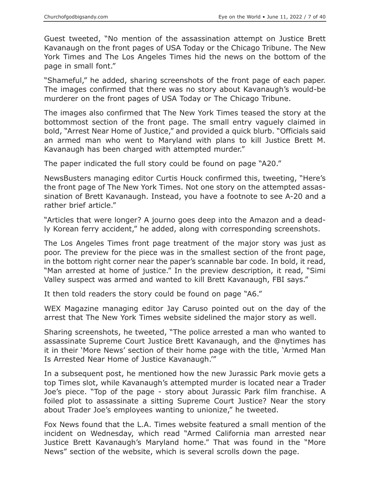Guest tweeted, "No mention of the assassination attempt on Justice Brett Kavanaugh on the front pages of USA Today or the Chicago Tribune. The New York Times and The Los Angeles Times hid the news on the bottom of the page in small font."

"Shameful," he added, sharing screenshots of the front page of each paper. The images confirmed that there was no story about Kavanaugh's would-be murderer on the front pages of USA Today or The Chicago Tribune.

The images also confirmed that The New York Times teased the story at the bottommost section of the front page. The small entry vaguely claimed in bold, "Arrest Near Home of Justice," and provided a quick blurb. "Officials said an armed man who went to Maryland with plans to kill Justice Brett M. Kavanaugh has been charged with attempted murder."

The paper indicated the full story could be found on page "A20."

NewsBusters managing editor Curtis Houck confirmed this, tweeting, "Here's the front page of The New York Times. Not one story on the attempted assassination of Brett Kavanaugh. Instead, you have a footnote to see A-20 and a rather brief article."

"Articles that were longer? A journo goes deep into the Amazon and a deadly Korean ferry accident," he added, along with corresponding screenshots.

The Los Angeles Times front page treatment of the major story was just as poor. The preview for the piece was in the smallest section of the front page, in the bottom right corner near the paper's scannable bar code. In bold, it read, "Man arrested at home of justice." In the preview description, it read, "Simi Valley suspect was armed and wanted to kill Brett Kavanaugh, FBI says."

It then told readers the story could be found on page "A6."

WEX Magazine managing editor Jay Caruso pointed out on the day of the arrest that The New York Times website sidelined the major story as well.

Sharing screenshots, he tweeted, "The police arrested a man who wanted to assassinate Supreme Court Justice Brett Kavanaugh, and the @nytimes has it in their 'More News' section of their home page with the title, 'Armed Man Is Arrested Near Home of Justice Kavanaugh.'"

In a subsequent post, he mentioned how the new Jurassic Park movie gets a top Times slot, while Kavanaugh's attempted murder is located near a Trader Joe's piece. "Top of the page - story about Jurassic Park film franchise. A foiled plot to assassinate a sitting Supreme Court Justice? Near the story about Trader Joe's employees wanting to unionize," he tweeted.

Fox News found that the L.A. Times website featured a small mention of the incident on Wednesday, which read "Armed California man arrested near Justice Brett Kavanaugh's Maryland home." That was found in the "More News" section of the website, which is several scrolls down the page.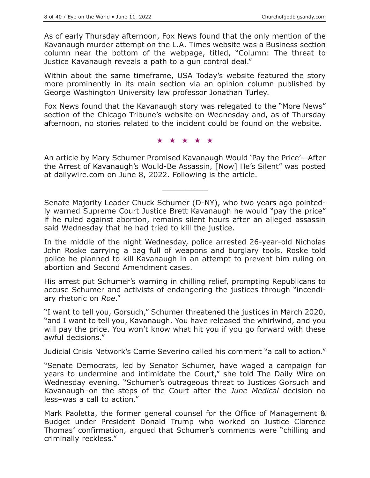As of early Thursday afternoon, Fox News found that the only mention of the Kavanaugh murder attempt on the L.A. Times website was a Business section column near the bottom of the webpage, titled, "Column: The threat to Justice Kavanaugh reveals a path to a gun control deal."

Within about the same timeframe, USA Today's website featured the story more prominently in its main section via an opinion column published by George Washington University law professor Jonathan Turley.

Fox News found that the Kavanaugh story was relegated to the "More News" section of the Chicago Tribune's website on Wednesday and, as of Thursday afternoon, no stories related to the incident could be found on the website.

★★★★★

An article by Mary Schumer Promised Kavanaugh Would 'Pay the Price'—After the Arrest of Kavanaugh's Would-Be Assassin, [Now] He's Silent" was posted at dailywire.com on June 8, 2022. Following is the article.

 $\overline{\phantom{a}}$  , where  $\overline{\phantom{a}}$ 

Senate Majority Leader Chuck Schumer (D-NY), who two years ago pointedly warned Supreme Court Justice Brett Kavanaugh he would "pay the price" if he ruled against abortion, remains silent hours after an alleged assassin said Wednesday that he had tried to kill the justice.

In the middle of the night Wednesday, police arrested 26-year-old Nicholas John Roske carrying a bag full of weapons and burglary tools. Roske told police he planned to kill Kavanaugh in an attempt to prevent him ruling on abortion and Second Amendment cases.

His arrest put Schumer's warning in chilling relief, prompting Republicans to accuse Schumer and activists of endangering the justices through "incendiary rhetoric on *Roe*."

"I want to tell you, Gorsuch," Schumer threatened the justices in March 2020, "and I want to tell you, Kavanaugh. You have released the whirlwind, and you will pay the price. You won't know what hit you if you go forward with these awful decisions."

Judicial Crisis Network's Carrie Severino called his comment "a call to action."

"Senate Democrats, led by Senator Schumer, have waged a campaign for years to undermine and intimidate the Court," she told The Daily Wire on Wednesday evening. "Schumer's outrageous threat to Justices Gorsuch and Kavanaugh–on the steps of the Court after the *June Medical* decision no less–was a call to action."

Mark Paoletta, the former general counsel for the Office of Management & Budget under President Donald Trump who worked on Justice Clarence Thomas' confirmation, argued that Schumer's comments were "chilling and criminally reckless."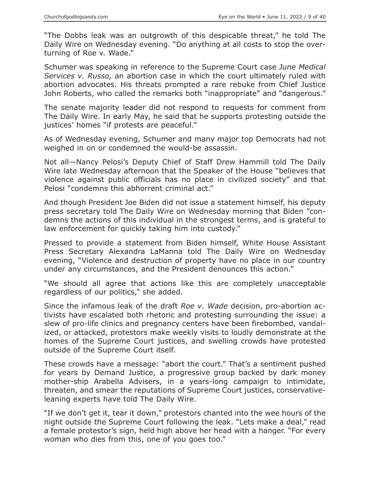"The Dobbs leak was an outgrowth of this despicable threat," he told The Daily Wire on Wednesday evening. "Do anything at all costs to stop the overturning of Roe v. Wade."

Schumer was speaking in reference to the Supreme Court case *June Medical Services v. Russo,* an abortion case in which the court ultimately ruled with abortion advocates. His threats prompted a rare rebuke from Chief Justice John Roberts, who called the remarks both "inappropriate" and "dangerous."

The senate majority leader did not respond to requests for comment from The Daily Wire. In early May, he said that he supports protesting outside the justices' homes "if protests are peaceful."

As of Wednesday evening, Schumer and many major top Democrats had not weighed in on or condemned the would-be assassin.

Not all—Nancy Pelosi's Deputy Chief of Staff Drew Hammill told The Daily Wire late Wednesday afternoon that the Speaker of the House "believes that violence against public officials has no place in civilized society" and that Pelosi "condemns this abhorrent criminal act."

And though President Joe Biden did not issue a statement himself, his deputy press secretary told The Daily Wire on Wednesday morning that Biden "condemns the actions of this individual in the strongest terms, and is grateful to law enforcement for quickly taking him into custody."

Pressed to provide a statement from Biden himself, White House Assistant Press Secretary Alexandra LaManna told The Daily Wire on Wednesday evening, "Violence and destruction of property have no place in our country under any circumstances, and the President denounces this action."

"We should all agree that actions like this are completely unacceptable regardless of our politics," she added.

Since the infamous leak of the draft *Roe v. Wade* decision, pro-abortion activists have escalated both rhetoric and protesting surrounding the issue: a slew of pro-life clinics and pregnancy centers have been firebombed, vandalized, or attacked, protestors make weekly visits to loudly demonstrate at the homes of the Supreme Court justices, and swelling crowds have protested outside of the Supreme Court itself.

These crowds have a message: "abort the court." That's a sentiment pushed for years by Demand Justice, a progressive group backed by dark money mother-ship Arabella Advisers, in a years-long campaign to intimidate, threaten, and smear the reputations of Supreme Court justices, conservativeleaning experts have told The Daily Wire.

"If we don't get it, tear it down," protestors chanted into the wee hours of the night outside the Supreme Court following the leak. "Lets make a deal," read a female protestor's sign, held high above her head with a hanger. "For every woman who dies from this, one of you goes too."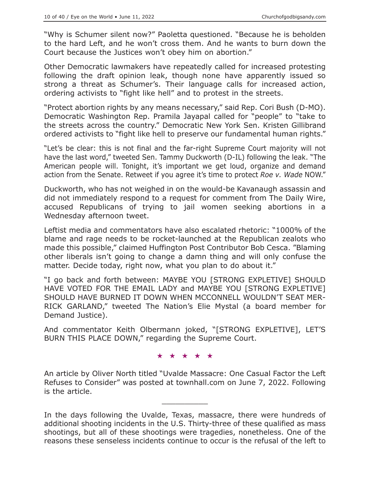"Why is Schumer silent now?" Paoletta questioned. "Because he is beholden to the hard Left, and he won't cross them. And he wants to burn down the Court because the Justices won't obey him on abortion."

Other Democratic lawmakers have repeatedly called for increased protesting following the draft opinion leak, though none have apparently issued so strong a threat as Schumer's. Their language calls for increased action, ordering activists to "fight like hell" and to protest in the streets.

"Protect abortion rights by any means necessary," said Rep. Cori Bush (D-MO). Democratic Washington Rep. Pramila Jayapal called for "people" to "take to the streets across the country." Democratic New York Sen. Kristen Gillibrand ordered activists to "fight like hell to preserve our fundamental human rights."

"Let's be clear: this is not final and the far-right Supreme Court majority will not have the last word," tweeted Sen. Tammy Duckworth (D-IL) following the leak. "The American people will. Tonight, it's important we get loud, organize and demand action from the Senate. Retweet if you agree it's time to protect *Roe v. Wade* NOW."

Duckworth, who has not weighed in on the would-be Kavanaugh assassin and did not immediately respond to a request for comment from The Daily Wire, accused Republicans of trying to jail women seeking abortions in a Wednesday afternoon tweet.

Leftist media and commentators have also escalated rhetoric: "1000% of the blame and rage needs to be rocket-launched at the Republican zealots who made this possible," claimed Huffington Post Contributor Bob Cesca. "Blaming other liberals isn't going to change a damn thing and will only confuse the matter. Decide today, right now, what you plan to do about it."

"I go back and forth between: MAYBE YOU [STRONG EXPLETIVE] SHOULD HAVE VOTED FOR THE EMAIL LADY and MAYBE YOU [STRONG EXPLETIVE] SHOULD HAVE BURNED IT DOWN WHEN MCCONNELL WOULDN'T SEAT MER-RICK GARLAND," tweeted The Nation's Elie Mystal (a board member for Demand Justice).

And commentator Keith Olbermann joked, "[STRONG EXPLETIVE], LET'S BURN THIS PLACE DOWN," regarding the Supreme Court.

★★★★★

An article by Oliver North titled "Uvalde Massacre: One Casual Factor the Left Refuses to Consider" was posted at townhall.com on June 7, 2022. Following is the article.

 $\overline{\phantom{a}}$  , where  $\overline{\phantom{a}}$ 

In the days following the Uvalde, Texas, massacre, there were hundreds of additional shooting incidents in the U.S. Thirty-three of these qualified as mass shootings, but all of these shootings were tragedies, nonetheless. One of the reasons these senseless incidents continue to occur is the refusal of the left to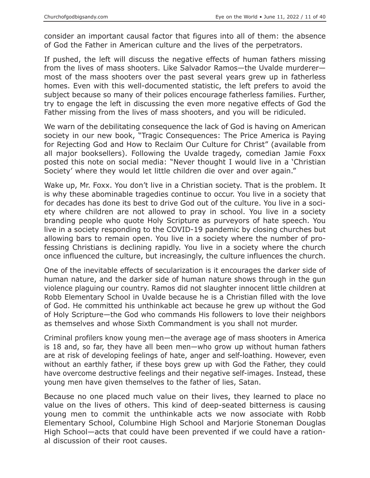consider an important causal factor that figures into all of them: the absence of God the Father in American culture and the lives of the perpetrators.

If pushed, the left will discuss the negative effects of human fathers missing from the lives of mass shooters. Like Salvador Ramos—the Uvalde murderer most of the mass shooters over the past several years grew up in fatherless homes. Even with this well-documented statistic, the left prefers to avoid the subject because so many of their polices encourage fatherless families. Further, try to engage the left in discussing the even more negative effects of God the Father missing from the lives of mass shooters, and you will be ridiculed.

We warn of the debilitating consequence the lack of God is having on American society in our new book, "Tragic Consequences: The Price America is Paying for Rejecting God and How to Reclaim Our Culture for Christ" (available from all major booksellers). Following the Uvalde tragedy, comedian Jamie Foxx posted this note on social media: "Never thought I would live in a 'Christian Society' where they would let little children die over and over again."

Wake up, Mr. Foxx. You don't live in a Christian society. That is the problem. It is why these abominable tragedies continue to occur. You live in a society that for decades has done its best to drive God out of the culture. You live in a society where children are not allowed to pray in school. You live in a society branding people who quote Holy Scripture as purveyors of hate speech. You live in a society responding to the COVID-19 pandemic by closing churches but allowing bars to remain open. You live in a society where the number of professing Christians is declining rapidly. You live in a society where the church once influenced the culture, but increasingly, the culture influences the church.

One of the inevitable effects of secularization is it encourages the darker side of human nature, and the darker side of human nature shows through in the gun violence plaguing our country. Ramos did not slaughter innocent little children at Robb Elementary School in Uvalde because he is a Christian filled with the love of God. He committed his unthinkable act because he grew up without the God of Holy Scripture—the God who commands His followers to love their neighbors as themselves and whose Sixth Commandment is you shall not murder.

Criminal profilers know young men—the average age of mass shooters in America is 18 and, so far, they have all been men—who grow up without human fathers are at risk of developing feelings of hate, anger and self-loathing. However, even without an earthly father, if these boys grew up with God the Father, they could have overcome destructive feelings and their negative self-images. Instead, these young men have given themselves to the father of lies, Satan.

Because no one placed much value on their lives, they learned to place no value on the lives of others. This kind of deep-seated bitterness is causing young men to commit the unthinkable acts we now associate with Robb Elementary School, Columbine High School and Marjorie Stoneman Douglas High School—acts that could have been prevented if we could have a rational discussion of their root causes.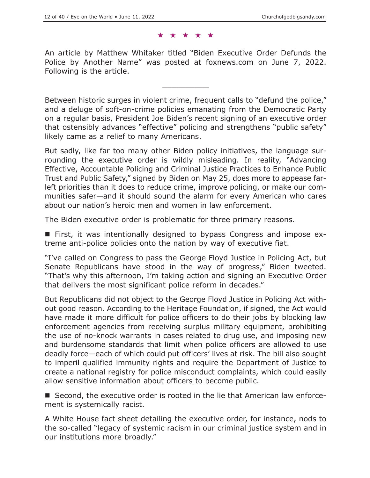★★★★★

An article by Matthew Whitaker titled "Biden Executive Order Defunds the Police by Another Name" was posted at foxnews.com on June 7, 2022. Following is the article.

 $\overline{\phantom{a}}$  , where  $\overline{\phantom{a}}$ 

Between historic surges in violent crime, frequent calls to "defund the police," and a deluge of soft-on-crime policies emanating from the Democratic Party on a regular basis, President Joe Biden's recent signing of an executive order that ostensibly advances "effective" policing and strengthens "public safety" likely came as a relief to many Americans.

But sadly, like far too many other Biden policy initiatives, the language surrounding the executive order is wildly misleading. In reality, "Advancing Effective, Accountable Policing and Criminal Justice Practices to Enhance Public Trust and Public Safety," signed by Biden on May 25, does more to appease farleft priorities than it does to reduce crime, improve policing, or make our communities safer—and it should sound the alarm for every American who cares about our nation's heroic men and women in law enforcement.

The Biden executive order is problematic for three primary reasons.

 First, it was intentionally designed to bypass Congress and impose extreme anti-police policies onto the nation by way of executive fiat.

"I've called on Congress to pass the George Floyd Justice in Policing Act, but Senate Republicans have stood in the way of progress," Biden tweeted. "That's why this afternoon, I'm taking action and signing an Executive Order that delivers the most significant police reform in decades."

But Republicans did not object to the George Floyd Justice in Policing Act without good reason. According to the Heritage Foundation, if signed, the Act would have made it more difficult for police officers to do their jobs by blocking law enforcement agencies from receiving surplus military equipment, prohibiting the use of no-knock warrants in cases related to drug use, and imposing new and burdensome standards that limit when police officers are allowed to use deadly force—each of which could put officers' lives at risk. The bill also sought to imperil qualified immunity rights and require the Department of Justice to create a national registry for police misconduct complaints, which could easily allow sensitive information about officers to become public.

 Second, the executive order is rooted in the lie that American law enforcement is systemically racist.

A White House fact sheet detailing the executive order, for instance, nods to the so-called "legacy of systemic racism in our criminal justice system and in our institutions more broadly."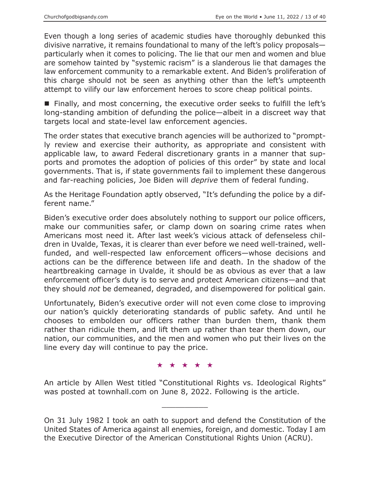Even though a long series of academic studies have thoroughly debunked this divisive narrative, it remains foundational to many of the left's policy proposals particularly when it comes to policing. The lie that our men and women and blue are somehow tainted by "systemic racism" is a slanderous lie that damages the law enforcement community to a remarkable extent. And Biden's proliferation of this charge should not be seen as anything other than the left's umpteenth attempt to vilify our law enforcement heroes to score cheap political points.

■ Finally, and most concerning, the executive order seeks to fulfill the left's long-standing ambition of defunding the police—albeit in a discreet way that targets local and state-level law enforcement agencies.

The order states that executive branch agencies will be authorized to "promptly review and exercise their authority, as appropriate and consistent with applicable law, to award Federal discretionary grants in a manner that supports and promotes the adoption of policies of this order" by state and local governments. That is, if state governments fail to implement these dangerous and far-reaching policies, Joe Biden will *deprive* them of federal funding.

As the Heritage Foundation aptly observed, "It's defunding the police by a different name."

Biden's executive order does absolutely nothing to support our police officers, make our communities safer, or clamp down on soaring crime rates when Americans most need it. After last week's vicious attack of defenseless children in Uvalde, Texas, it is clearer than ever before we need well-trained, wellfunded, and well-respected law enforcement officers—whose decisions and actions can be the difference between life and death. In the shadow of the heartbreaking carnage in Uvalde, it should be as obvious as ever that a law enforcement officer's duty is to serve and protect American citizens—and that they should *not* be demeaned, degraded, and disempowered for political gain.

Unfortunately, Biden's executive order will not even come close to improving our nation's quickly deteriorating standards of public safety. And until he chooses to embolden our officers rather than burden them, thank them rather than ridicule them, and lift them up rather than tear them down, our nation, our communities, and the men and women who put their lives on the line every day will continue to pay the price.

★★★★★

An article by Allen West titled "Constitutional Rights vs. Ideological Rights" was posted at townhall.com on June 8, 2022. Following is the article.

 $\overline{\phantom{a}}$  , where  $\overline{\phantom{a}}$ 

On 31 July 1982 I took an oath to support and defend the Constitution of the United States of America against all enemies, foreign, and domestic. Today I am the Executive Director of the American Constitutional Rights Union (ACRU).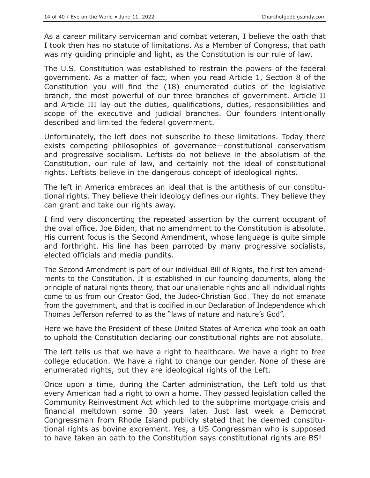As a career military serviceman and combat veteran, I believe the oath that I took then has no statute of limitations. As a Member of Congress, that oath was my guiding principle and light, as the Constitution is our rule of law.

The U.S. Constitution was established to restrain the powers of the federal government. As a matter of fact, when you read Article 1, Section 8 of the Constitution you will find the (18) enumerated duties of the legislative branch, the most powerful of our three branches of government. Article II and Article III lay out the duties, qualifications, duties, responsibilities and scope of the executive and judicial branches. Our founders intentionally described and limited the federal government.

Unfortunately, the left does not subscribe to these limitations. Today there exists competing philosophies of governance—constitutional conservatism and progressive socialism. Leftists do not believe in the absolutism of the Constitution, our rule of law, and certainly not the ideal of constitutional rights. Leftists believe in the dangerous concept of ideological rights.

The left in America embraces an ideal that is the antithesis of our constitutional rights. They believe their ideology defines our rights. They believe they can grant and take our rights away.

I find very disconcerting the repeated assertion by the current occupant of the oval office, Joe Biden, that no amendment to the Constitution is absolute. His current focus is the Second Amendment, whose language is quite simple and forthright. His line has been parroted by many progressive socialists, elected officials and media pundits.

The Second Amendment is part of our individual Bill of Rights, the first ten amendments to the Constitution. It is established in our founding documents, along the principle of natural rights theory, that our unalienable rights and all individual rights come to us from our Creator God, the Judeo-Christian God. They do not emanate from the government, and that is codified in our Declaration of Independence which Thomas Jefferson referred to as the "laws of nature and nature's God".

Here we have the President of these United States of America who took an oath to uphold the Constitution declaring our constitutional rights are not absolute.

The left tells us that we have a right to healthcare. We have a right to free college education. We have a right to change our gender. None of these are enumerated rights, but they are ideological rights of the Left.

Once upon a time, during the Carter administration, the Left told us that every American had a right to own a home. They passed legislation called the Community Reinvestment Act which led to the subprime mortgage crisis and financial meltdown some 30 years later. Just last week a Democrat Congressman from Rhode Island publicly stated that he deemed constitutional rights as bovine excrement. Yes, a US Congressman who is supposed to have taken an oath to the Constitution says constitutional rights are BS!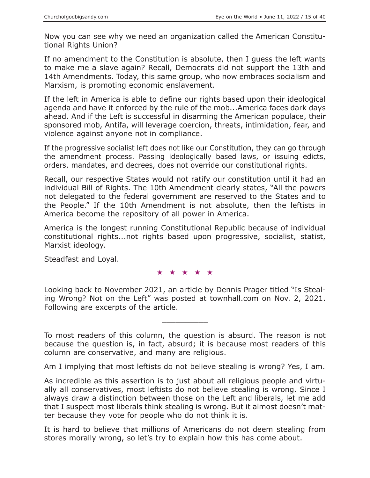Now you can see why we need an organization called the American Constitutional Rights Union?

If no amendment to the Constitution is absolute, then I guess the left wants to make me a slave again? Recall, Democrats did not support the 13th and 14th Amendments. Today, this same group, who now embraces socialism and Marxism, is promoting economic enslavement.

If the left in America is able to define our rights based upon their ideological agenda and have it enforced by the rule of the mob...America faces dark days ahead. And if the Left is successful in disarming the American populace, their sponsored mob, Antifa, will leverage coercion, threats, intimidation, fear, and violence against anyone not in compliance.

If the progressive socialist left does not like our Constitution, they can go through the amendment process. Passing ideologically based laws, or issuing edicts, orders, mandates, and decrees, does not override our constitutional rights.

Recall, our respective States would not ratify our constitution until it had an individual Bill of Rights. The 10th Amendment clearly states, "All the powers not delegated to the federal government are reserved to the States and to the People." If the 10th Amendment is not absolute, then the leftists in America become the repository of all power in America.

America is the longest running Constitutional Republic because of individual constitutional rights...not rights based upon progressive, socialist, statist, Marxist ideology.

Steadfast and Loyal.

#### ★★★★★

Looking back to November 2021, an article by Dennis Prager titled "Is Stealing Wrong? Not on the Left" was posted at townhall.com on Nov. 2, 2021. Following are excerpts of the article.

 $\overline{\phantom{a}}$  , where  $\overline{\phantom{a}}$ 

To most readers of this column, the question is absurd. The reason is not because the question is, in fact, absurd; it is because most readers of this column are conservative, and many are religious.

Am I implying that most leftists do not believe stealing is wrong? Yes, I am.

As incredible as this assertion is to just about all religious people and virtually all conservatives, most leftists do not believe stealing is wrong. Since I always draw a distinction between those on the Left and liberals, let me add that I suspect most liberals think stealing is wrong. But it almost doesn't matter because they vote for people who do not think it is.

It is hard to believe that millions of Americans do not deem stealing from stores morally wrong, so let's try to explain how this has come about.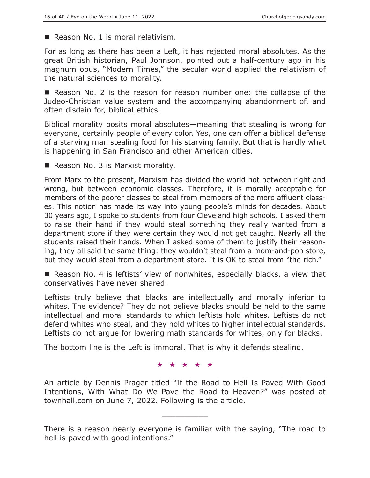Reason No. 1 is moral relativism.

For as long as there has been a Left, it has rejected moral absolutes. As the great British historian, Paul Johnson, pointed out a half-century ago in his magnum opus, "Modern Times," the secular world applied the relativism of the natural sciences to morality.

■ Reason No. 2 is the reason for reason number one: the collapse of the Judeo-Christian value system and the accompanying abandonment of, and often disdain for, biblical ethics.

Biblical morality posits moral absolutes—meaning that stealing is wrong for everyone, certainly people of every color. Yes, one can offer a biblical defense of a starving man stealing food for his starving family. But that is hardly what is happening in San Francisco and other American cities.

Reason No. 3 is Marxist morality.

From Marx to the present, Marxism has divided the world not between right and wrong, but between economic classes. Therefore, it is morally acceptable for members of the poorer classes to steal from members of the more affluent classes. This notion has made its way into young people's minds for decades. About 30 years ago, I spoke to students from four Cleveland high schools. I asked them to raise their hand if they would steal something they really wanted from a department store if they were certain they would not get caught. Nearly all the students raised their hands. When I asked some of them to justify their reasoning, they all said the same thing: they wouldn't steal from a mom-and-pop store, but they would steal from a department store. It is OK to steal from "the rich."

■ Reason No. 4 is leftists' view of nonwhites, especially blacks, a view that conservatives have never shared.

Leftists truly believe that blacks are intellectually and morally inferior to whites. The evidence? They do not believe blacks should be held to the same intellectual and moral standards to which leftists hold whites. Leftists do not defend whites who steal, and they hold whites to higher intellectual standards. Leftists do not argue for lowering math standards for whites, only for blacks.

The bottom line is the Left is immoral. That is why it defends stealing.

★★★★★

An article by Dennis Prager titled "If the Road to Hell Is Paved With Good Intentions, With What Do We Pave the Road to Heaven?" was posted at townhall.com on June 7, 2022. Following is the article.

 $\overline{\phantom{a}}$  , where  $\overline{\phantom{a}}$ 

There is a reason nearly everyone is familiar with the saying, "The road to hell is paved with good intentions."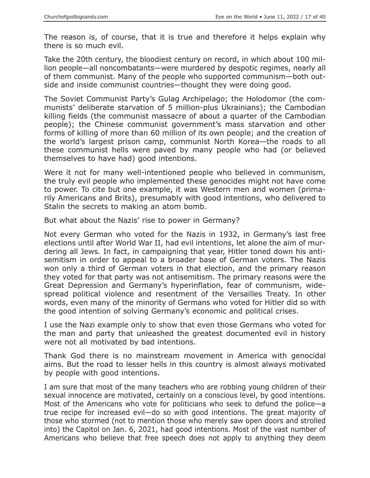The reason is, of course, that it is true and therefore it helps explain why there is so much evil.

Take the 20th century, the bloodiest century on record, in which about 100 million people—all noncombatants—were murdered by despotic regimes, nearly all of them communist. Many of the people who supported communism—both outside and inside communist countries—thought they were doing good.

The Soviet Communist Party's Gulag Archipelago; the Holodomor (the communists' deliberate starvation of 5 million-plus Ukrainians); the Cambodian killing fields (the communist massacre of about a quarter of the Cambodian people); the Chinese communist government's mass starvation and other forms of killing of more than 60 million of its own people; and the creation of the world's largest prison camp, communist North Korea—the roads to all these communist hells were paved by many people who had (or believed themselves to have had) good intentions.

Were it not for many well-intentioned people who believed in communism, the truly evil people who implemented these genocides might not have come to power. To cite but one example, it was Western men and women (primarily Americans and Brits), presumably with good intentions, who delivered to Stalin the secrets to making an atom bomb.

But what about the Nazis' rise to power in Germany?

Not every German who voted for the Nazis in 1932, in Germany's last free elections until after World War II, had evil intentions, let alone the aim of murdering all Jews. In fact, in campaigning that year, Hitler toned down his antisemitism in order to appeal to a broader base of German voters. The Nazis won only a third of German voters in that election, and the primary reason they voted for that party was not antisemitism. The primary reasons were the Great Depression and Germany's hyperinflation, fear of communism, widespread political violence and resentment of the Versailles Treaty. In other words, even many of the minority of Germans who voted for Hitler did so with the good intention of solving Germany's economic and political crises.

I use the Nazi example only to show that even those Germans who voted for the man and party that unleashed the greatest documented evil in history were not all motivated by bad intentions.

Thank God there is no mainstream movement in America with genocidal aims. But the road to lesser hells in this country is almost always motivated by people with good intentions.

I am sure that most of the many teachers who are robbing young children of their sexual innocence are motivated, certainly on a conscious level, by good intentions. Most of the Americans who vote for politicians who seek to defund the police—a true recipe for increased evil—do so with good intentions. The great majority of those who stormed (not to mention those who merely saw open doors and strolled into) the Capitol on Jan. 6, 2021, had good intentions. Most of the vast number of Americans who believe that free speech does not apply to anything they deem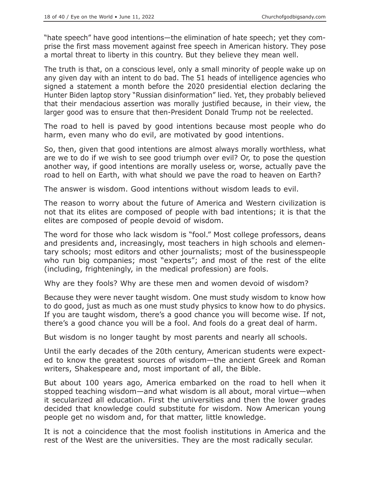"hate speech" have good intentions—the elimination of hate speech; yet they comprise the first mass movement against free speech in American history. They pose a mortal threat to liberty in this country. But they believe they mean well.

The truth is that, on a conscious level, only a small minority of people wake up on any given day with an intent to do bad. The 51 heads of intelligence agencies who signed a statement a month before the 2020 presidential election declaring the Hunter Biden laptop story "Russian disinformation" lied. Yet, they probably believed that their mendacious assertion was morally justified because, in their view, the larger good was to ensure that then-President Donald Trump not be reelected.

The road to hell is paved by good intentions because most people who do harm, even many who do evil, are motivated by good intentions.

So, then, given that good intentions are almost always morally worthless, what are we to do if we wish to see good triumph over evil? Or, to pose the question another way, if good intentions are morally useless or, worse, actually pave the road to hell on Earth, with what should we pave the road to heaven on Earth?

The answer is wisdom. Good intentions without wisdom leads to evil.

The reason to worry about the future of America and Western civilization is not that its elites are composed of people with bad intentions; it is that the elites are composed of people devoid of wisdom.

The word for those who lack wisdom is "fool." Most college professors, deans and presidents and, increasingly, most teachers in high schools and elementary schools; most editors and other journalists; most of the businesspeople who run big companies; most "experts"; and most of the rest of the elite (including, frighteningly, in the medical profession) are fools.

Why are they fools? Why are these men and women devoid of wisdom?

Because they were never taught wisdom. One must study wisdom to know how to do good, just as much as one must study physics to know how to do physics. If you are taught wisdom, there's a good chance you will become wise. If not, there's a good chance you will be a fool. And fools do a great deal of harm.

But wisdom is no longer taught by most parents and nearly all schools.

Until the early decades of the 20th century, American students were expected to know the greatest sources of wisdom—the ancient Greek and Roman writers, Shakespeare and, most important of all, the Bible.

But about 100 years ago, America embarked on the road to hell when it stopped teaching wisdom—and what wisdom is all about, moral virtue—when it secularized all education. First the universities and then the lower grades decided that knowledge could substitute for wisdom. Now American young people get no wisdom and, for that matter, little knowledge.

It is not a coincidence that the most foolish institutions in America and the rest of the West are the universities. They are the most radically secular.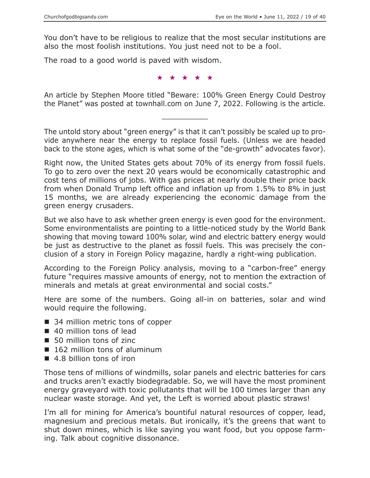You don't have to be religious to realize that the most secular institutions are also the most foolish institutions. You just need not to be a fool.

The road to a good world is paved with wisdom.

★★★★★

An article by Stephen Moore titled "Beware: 100% Green Energy Could Destroy the Planet" was posted at townhall.com on June 7, 2022. Following is the article.

 $\overline{\phantom{a}}$  , where  $\overline{\phantom{a}}$ 

The untold story about "green energy" is that it can't possibly be scaled up to provide anywhere near the energy to replace fossil fuels. (Unless we are headed back to the stone ages, which is what some of the "de-growth" advocates favor).

Right now, the United States gets about 70% of its energy from fossil fuels. To go to zero over the next 20 years would be economically catastrophic and cost tens of millions of jobs. With gas prices at nearly double their price back from when Donald Trump left office and inflation up from 1.5% to 8% in just 15 months, we are already experiencing the economic damage from the green energy crusaders.

But we also have to ask whether green energy is even good for the environment. Some environmentalists are pointing to a little-noticed study by the World Bank showing that moving toward 100% solar, wind and electric battery energy would be just as destructive to the planet as fossil fuels. This was precisely the conclusion of a story in Foreign Policy magazine, hardly a right-wing publication.

According to the Foreign Policy analysis, moving to a "carbon-free" energy future "requires massive amounts of energy, not to mention the extraction of minerals and metals at great environmental and social costs."

Here are some of the numbers. Going all-in on batteries, solar and wind would require the following.

- 34 million metric tons of copper
- 40 million tons of lead
- 50 million tons of zinc
- $\blacksquare$  162 million tons of aluminum
- 4.8 billion tons of iron

Those tens of millions of windmills, solar panels and electric batteries for cars and trucks aren't exactly biodegradable. So, we will have the most prominent energy graveyard with toxic pollutants that will be 100 times larger than any nuclear waste storage. And yet, the Left is worried about plastic straws!

I'm all for mining for America's bountiful natural resources of copper, lead, magnesium and precious metals. But ironically, it's the greens that want to shut down mines, which is like saying you want food, but you oppose farming. Talk about cognitive dissonance.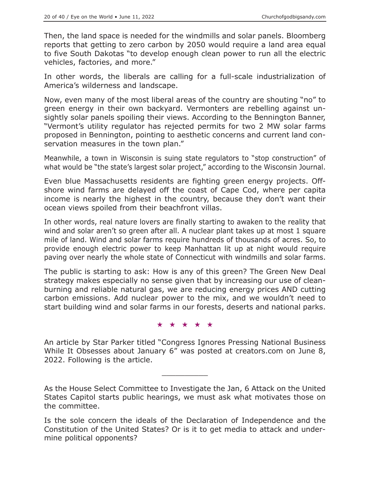Then, the land space is needed for the windmills and solar panels. Bloomberg reports that getting to zero carbon by 2050 would require a land area equal to five South Dakotas "to develop enough clean power to run all the electric vehicles, factories, and more."

In other words, the liberals are calling for a full-scale industrialization of America's wilderness and landscape.

Now, even many of the most liberal areas of the country are shouting "no" to green energy in their own backyard. Vermonters are rebelling against unsightly solar panels spoiling their views. According to the Bennington Banner, "Vermont's utility regulator has rejected permits for two 2 MW solar farms proposed in Bennington, pointing to aesthetic concerns and current land conservation measures in the town plan."

Meanwhile, a town in Wisconsin is suing state regulators to "stop construction" of what would be "the state's largest solar project," according to the Wisconsin Journal.

Even blue Massachusetts residents are fighting green energy projects. Offshore wind farms are delayed off the coast of Cape Cod, where per capita income is nearly the highest in the country, because they don't want their ocean views spoiled from their beachfront villas.

In other words, real nature lovers are finally starting to awaken to the reality that wind and solar aren't so green after all. A nuclear plant takes up at most 1 square mile of land. Wind and solar farms require hundreds of thousands of acres. So, to provide enough electric power to keep Manhattan lit up at night would require paving over nearly the whole state of Connecticut with windmills and solar farms.

The public is starting to ask: How is any of this green? The Green New Deal strategy makes especially no sense given that by increasing our use of cleanburning and reliable natural gas, we are reducing energy prices AND cutting carbon emissions. Add nuclear power to the mix, and we wouldn't need to start building wind and solar farms in our forests, deserts and national parks.

#### ★★★★★

An article by Star Parker titled "Congress Ignores Pressing National Business While It Obsesses about January 6" was posted at creators.com on June 8, 2022. Following is the article.

 $\overline{\phantom{a}}$  , where  $\overline{\phantom{a}}$ 

As the House Select Committee to Investigate the Jan, 6 Attack on the United States Capitol starts public hearings, we must ask what motivates those on the committee.

Is the sole concern the ideals of the Declaration of Independence and the Constitution of the United States? Or is it to get media to attack and undermine political opponents?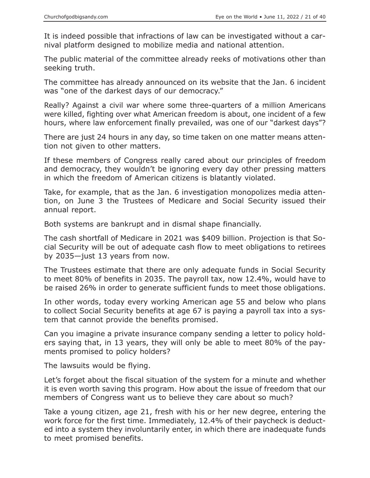It is indeed possible that infractions of law can be investigated without a carnival platform designed to mobilize media and national attention.

The public material of the committee already reeks of motivations other than seeking truth.

The committee has already announced on its website that the Jan. 6 incident was "one of the darkest days of our democracy."

Really? Against a civil war where some three-quarters of a million Americans were killed, fighting over what American freedom is about, one incident of a few hours, where law enforcement finally prevailed, was one of our "darkest days"?

There are just 24 hours in any day, so time taken on one matter means attention not given to other matters.

If these members of Congress really cared about our principles of freedom and democracy, they wouldn't be ignoring every day other pressing matters in which the freedom of American citizens is blatantly violated.

Take, for example, that as the Jan. 6 investigation monopolizes media attention, on June 3 the Trustees of Medicare and Social Security issued their annual report.

Both systems are bankrupt and in dismal shape financially.

The cash shortfall of Medicare in 2021 was \$409 billion. Projection is that Social Security will be out of adequate cash flow to meet obligations to retirees by 2035—just 13 years from now.

The Trustees estimate that there are only adequate funds in Social Security to meet 80% of benefits in 2035. The payroll tax, now 12.4%, would have to be raised 26% in order to generate sufficient funds to meet those obligations.

In other words, today every working American age 55 and below who plans to collect Social Security benefits at age 67 is paying a payroll tax into a system that cannot provide the benefits promised.

Can you imagine a private insurance company sending a letter to policy holders saying that, in 13 years, they will only be able to meet 80% of the payments promised to policy holders?

The lawsuits would be flying.

Let's forget about the fiscal situation of the system for a minute and whether it is even worth saving this program. How about the issue of freedom that our members of Congress want us to believe they care about so much?

Take a young citizen, age 21, fresh with his or her new degree, entering the work force for the first time. Immediately, 12.4% of their paycheck is deducted into a system they involuntarily enter, in which there are inadequate funds to meet promised benefits.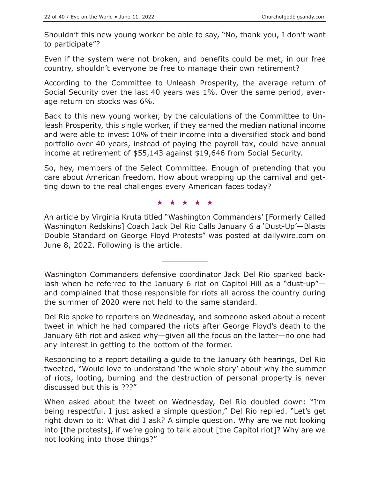Shouldn't this new young worker be able to say, "No, thank you, I don't want to participate"?

Even if the system were not broken, and benefits could be met, in our free country, shouldn't everyone be free to manage their own retirement?

According to the Committee to Unleash Prosperity, the average return of Social Security over the last 40 years was 1%. Over the same period, average return on stocks was 6%.

Back to this new young worker, by the calculations of the Committee to Unleash Prosperity, this single worker, if they earned the median national income and were able to invest 10% of their income into a diversified stock and bond portfolio over 40 years, instead of paying the payroll tax, could have annual income at retirement of \$55,143 against \$19,646 from Social Security.

So, hey, members of the Select Committee. Enough of pretending that you care about American freedom. How about wrapping up the carnival and getting down to the real challenges every American faces today?

★★★★★

An article by Virginia Kruta titled "Washington Commanders' [Formerly Called Washington Redskins] Coach Jack Del Rio Calls January 6 a 'Dust-Up'—Blasts Double Standard on George Floyd Protests" was posted at dailywire.com on June 8, 2022. Following is the article.

 $\overline{\phantom{a}}$  , where  $\overline{\phantom{a}}$ 

Washington Commanders defensive coordinator Jack Del Rio sparked backlash when he referred to the January 6 riot on Capitol Hill as a "dust-up" and complained that those responsible for riots all across the country during the summer of 2020 were not held to the same standard.

Del Rio spoke to reporters on Wednesday, and someone asked about a recent tweet in which he had compared the riots after George Floyd's death to the January 6th riot and asked why—given all the focus on the latter—no one had any interest in getting to the bottom of the former.

Responding to a report detailing a guide to the January 6th hearings, Del Rio tweeted, "Would love to understand 'the whole story' about why the summer of riots, looting, burning and the destruction of personal property is never discussed but this is ???"

When asked about the tweet on Wednesday, Del Rio doubled down: "I'm being respectful. I just asked a simple question," Del Rio replied. "Let's get right down to it: What did I ask? A simple question. Why are we not looking into [the protests], if we're going to talk about [the Capitol riot]? Why are we not looking into those things?"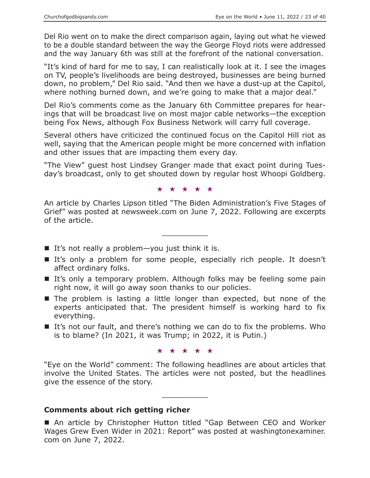Del Rio went on to make the direct comparison again, laying out what he viewed to be a double standard between the way the George Floyd riots were addressed and the way January 6th was still at the forefront of the national conversation.

"It's kind of hard for me to say, I can realistically look at it. I see the images on TV, people's livelihoods are being destroyed, businesses are being burned down, no problem," Del Rio said. "And then we have a dust-up at the Capitol, where nothing burned down, and we're going to make that a major deal."

Del Rio's comments come as the January 6th Committee prepares for hearings that will be broadcast live on most major cable networks—the exception being Fox News, although Fox Business Network will carry full coverage.

Several others have criticized the continued focus on the Capitol Hill riot as well, saying that the American people might be more concerned with inflation and other issues that are impacting them every day.

"The View" guest host Lindsey Granger made that exact point during Tuesday's broadcast, only to get shouted down by regular host Whoopi Goldberg.

★★★★★

An article by Charles Lipson titled "The Biden Administration's Five Stages of Grief" was posted at newsweek.com on June 7, 2022. Following are excerpts of the article.

 $\overline{\phantom{a}}$  , where  $\overline{\phantom{a}}$ 

- If's not really a problem—you just think it is.
- It's only a problem for some people, especially rich people. It doesn't affect ordinary folks.
- If's only a temporary problem. Although folks may be feeling some pain right now, it will go away soon thanks to our policies.
- The problem is lasting a little longer than expected, but none of the experts anticipated that. The president himself is working hard to fix everything.
- It's not our fault, and there's nothing we can do to fix the problems. Who is to blame? (In 2021, it was Trump; in 2022, it is Putin.)

#### ★★★★★

"Eye on the World" comment: The following headlines are about articles that involve the United States. The articles were not posted, but the headlines give the essence of the story.

 $\overline{\phantom{a}}$  , where  $\overline{\phantom{a}}$ 

#### **Comments about rich getting richer**

■ An article by Christopher Hutton titled "Gap Between CEO and Worker Wages Grew Even Wider in 2021: Report" was posted at washingtonexaminer. com on June 7, 2022.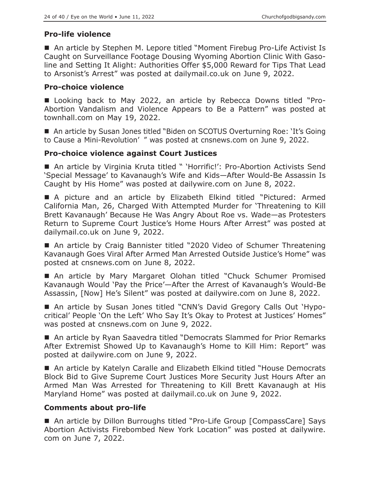# **Pro-life violence**

■ An article by Stephen M. Lepore titled "Moment Firebug Pro-Life Activist Is Caught on Surveillance Footage Dousing Wyoming Abortion Clinic With Gasoline and Setting It Alight: Authorities Offer \$5,000 Reward for Tips That Lead to Arsonist's Arrest" was posted at dailymail.co.uk on June 9, 2022.

#### **Pro-choice violence**

■ Looking back to May 2022, an article by Rebecca Downs titled "Pro-Abortion Vandalism and Violence Appears to Be a Pattern" was posted at townhall.com on May 19, 2022.

■ An article by Susan Jones titled "Biden on SCOTUS Overturning Roe: 'It's Going to Cause a Mini-Revolution' " was posted at cnsnews.com on June 9, 2022.

## **Pro-choice violence against Court Justices**

■ An article by Virginia Kruta titled " 'Horrific!': Pro-Abortion Activists Send 'Special Message' to Kavanaugh's Wife and Kids—After Would-Be Assassin Is Caught by His Home" was posted at dailywire.com on June 8, 2022.

 A picture and an article by Elizabeth Elkind titled "Pictured: Armed California Man, 26, Charged With Attempted Murder for 'Threatening to Kill Brett Kavanaugh' Because He Was Angry About Roe vs. Wade—as Protesters Return to Supreme Court Justice's Home Hours After Arrest" was posted at dailymail.co.uk on June 9, 2022.

■ An article by Craig Bannister titled "2020 Video of Schumer Threatening Kavanaugh Goes Viral After Armed Man Arrested Outside Justice's Home" was posted at cnsnews.com on June 8, 2022.

 An article by Mary Margaret Olohan titled "Chuck Schumer Promised Kavanaugh Would 'Pay the Price'—After the Arrest of Kavanaugh's Would-Be Assassin, [Now] He's Silent" was posted at dailywire.com on June 8, 2022.

 An article by Susan Jones titled "CNN's David Gregory Calls Out 'Hypocritical' People 'On the Left' Who Say It's Okay to Protest at Justices' Homes" was posted at cnsnews.com on June 9, 2022.

■ An article by Ryan Saavedra titled "Democrats Slammed for Prior Remarks After Extremist Showed Up to Kavanaugh's Home to Kill Him: Report" was posted at dailywire.com on June 9, 2022.

■ An article by Katelyn Caralle and Elizabeth Elkind titled "House Democrats Block Bid to Give Supreme Court Justices More Security Just Hours After an Armed Man Was Arrested for Threatening to Kill Brett Kavanaugh at His Maryland Home" was posted at dailymail.co.uk on June 9, 2022.

## **Comments about pro-life**

■ An article by Dillon Burroughs titled "Pro-Life Group [CompassCare] Says Abortion Activists Firebombed New York Location" was posted at dailywire. com on June 7, 2022.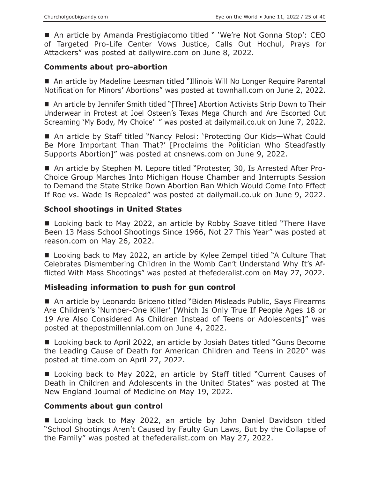■ An article by Amanda Prestigiacomo titled " 'We're Not Gonna Stop': CEO of Targeted Pro-Life Center Vows Justice, Calls Out Hochul, Prays for Attackers" was posted at dailywire.com on June 8, 2022.

#### **Comments about pro-abortion**

■ An article by Madeline Leesman titled "Illinois Will No Longer Require Parental Notification for Minors' Abortions" was posted at townhall.com on June 2, 2022.

■ An article by Jennifer Smith titled "[Three] Abortion Activists Strip Down to Their Underwear in Protest at Joel Osteen's Texas Mega Church and Are Escorted Out Screaming 'My Body, My Choice' " was posted at dailymail.co.uk on June 7, 2022.

■ An article by Staff titled "Nancy Pelosi: 'Protecting Our Kids—What Could Be More Important Than That?' [Proclaims the Politician Who Steadfastly Supports Abortion]" was posted at cnsnews.com on June 9, 2022.

■ An article by Stephen M. Lepore titled "Protester, 30, Is Arrested After Pro-Choice Group Marches Into Michigan House Chamber and Interrupts Session to Demand the State Strike Down Abortion Ban Which Would Come Into Effect If Roe vs. Wade Is Repealed" was posted at dailymail.co.uk on June 9, 2022.

#### **School shootings in United States**

■ Looking back to May 2022, an article by Robby Soave titled "There Have Been 13 Mass School Shootings Since 1966, Not 27 This Year" was posted at reason.com on May 26, 2022.

■ Looking back to May 2022, an article by Kylee Zempel titled "A Culture That Celebrates Dismembering Children in the Womb Can't Understand Why It's Afflicted With Mass Shootings" was posted at thefederalist.com on May 27, 2022.

## **Misleading information to push for gun control**

■ An article by Leonardo Briceno titled "Biden Misleads Public, Says Firearms Are Children's 'Number-One Killer' [Which Is Only True If People Ages 18 or 19 Are Also Considered As Children Instead of Teens or Adolescents]" was posted at thepostmillennial.com on June 4, 2022.

■ Looking back to April 2022, an article by Josiah Bates titled "Guns Become the Leading Cause of Death for American Children and Teens in 2020" was posted at time.com on April 27, 2022.

■ Looking back to May 2022, an article by Staff titled "Current Causes of Death in Children and Adolescents in the United States" was posted at The New England Journal of Medicine on May 19, 2022.

#### **Comments about gun control**

**Looking back to May 2022, an article by John Daniel Davidson titled** "School Shootings Aren't Caused by Faulty Gun Laws, But by the Collapse of the Family" was posted at thefederalist.com on May 27, 2022.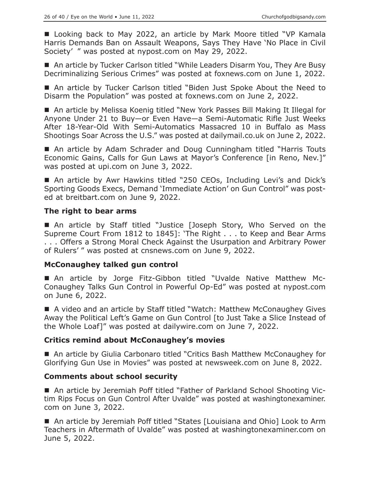■ Looking back to May 2022, an article by Mark Moore titled "VP Kamala Harris Demands Ban on Assault Weapons, Says They Have 'No Place in Civil Society' " was posted at nypost.com on May 29, 2022.

■ An article by Tucker Carlson titled "While Leaders Disarm You, They Are Busy Decriminalizing Serious Crimes" was posted at foxnews.com on June 1, 2022.

■ An article by Tucker Carlson titled "Biden Just Spoke About the Need to Disarm the Population" was posted at foxnews.com on June 2, 2022.

■ An article by Melissa Koenig titled "New York Passes Bill Making It Illegal for Anyone Under 21 to Buy—or Even Have—a Semi-Automatic Rifle Just Weeks After 18-Year-Old With Semi-Automatics Massacred 10 in Buffalo as Mass Shootings Soar Across the U.S." was posted at dailymail.co.uk on June 2, 2022.

■ An article by Adam Schrader and Doug Cunningham titled "Harris Touts Economic Gains, Calls for Gun Laws at Mayor's Conference [in Reno, Nev.]" was posted at upi.com on June 3, 2022.

■ An article by Awr Hawkins titled "250 CEOs, Including Levi's and Dick's Sporting Goods Execs, Demand 'Immediate Action' on Gun Control" was posted at breitbart.com on June 9, 2022.

## **The right to bear arms**

■ An article by Staff titled "Justice [Joseph Story, Who Served on the Supreme Court From 1812 to 1845]: 'The Right . . . to Keep and Bear Arms . . . Offers a Strong Moral Check Against the Usurpation and Arbitrary Power of Rulers' " was posted at cnsnews.com on June 9, 2022.

## **McConaughey talked gun control**

 An article by Jorge Fitz-Gibbon titled "Uvalde Native Matthew Mc-Conaughey Talks Gun Control in Powerful Op-Ed" was posted at nypost.com on June 6, 2022.

■ A video and an article by Staff titled "Watch: Matthew McConaughey Gives Away the Political Left's Game on Gun Control [to Just Take a Slice Instead of the Whole Loaf]" was posted at dailywire.com on June 7, 2022.

## **Critics remind about McConaughey's movies**

■ An article by Giulia Carbonaro titled "Critics Bash Matthew McConaughey for Glorifying Gun Use in Movies" was posted at newsweek.com on June 8, 2022.

## **Comments about school security**

 An article by Jeremiah Poff titled "Father of Parkland School Shooting Victim Rips Focus on Gun Control After Uvalde" was posted at washingtonexaminer. com on June 3, 2022.

■ An article by Jeremiah Poff titled "States [Louisiana and Ohio] Look to Arm Teachers in Aftermath of Uvalde" was posted at washingtonexaminer.com on June 5, 2022.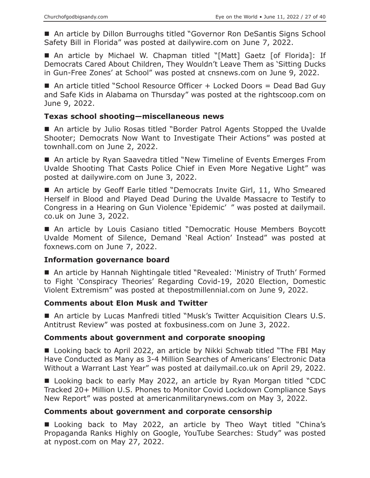■ An article by Dillon Burroughs titled "Governor Ron DeSantis Signs School Safety Bill in Florida" was posted at dailywire.com on June 7, 2022.

 An article by Michael W. Chapman titled "[Matt] Gaetz [of Florida]: If Democrats Cared About Children, They Wouldn't Leave Them as 'Sitting Ducks in Gun-Free Zones' at School" was posted at cnsnews.com on June 9, 2022.

■ An article titled "School Resource Officer + Locked Doors = Dead Bad Guy and Safe Kids in Alabama on Thursday" was posted at the rightscoop.com on June 9, 2022.

## **Texas school shooting—miscellaneous news**

■ An article by Julio Rosas titled "Border Patrol Agents Stopped the Uvalde Shooter; Democrats Now Want to Investigate Their Actions" was posted at townhall.com on June 2, 2022.

■ An article by Ryan Saavedra titled "New Timeline of Events Emerges From Uvalde Shooting That Casts Police Chief in Even More Negative Light" was posted at dailywire.com on June 3, 2022.

■ An article by Geoff Earle titled "Democrats Invite Girl, 11, Who Smeared Herself in Blood and Played Dead During the Uvalde Massacre to Testify to Congress in a Hearing on Gun Violence 'Epidemic' " was posted at dailymail. co.uk on June 3, 2022.

■ An article by Louis Casiano titled "Democratic House Members Boycott Uvalde Moment of Silence, Demand 'Real Action' Instead" was posted at foxnews.com on June 7, 2022.

#### **Information governance board**

■ An article by Hannah Nightingale titled "Revealed: 'Ministry of Truth' Formed to Fight 'Conspiracy Theories' Regarding Covid-19, 2020 Election, Domestic Violent Extremism" was posted at thepostmillennial.com on June 9, 2022.

## **Comments about Elon Musk and Twitter**

■ An article by Lucas Manfredi titled "Musk's Twitter Acquisition Clears U.S. Antitrust Review" was posted at foxbusiness.com on June 3, 2022.

## **Comments about government and corporate snooping**

■ Looking back to April 2022, an article by Nikki Schwab titled "The FBI May Have Conducted as Many as 3-4 Million Searches of Americans' Electronic Data Without a Warrant Last Year" was posted at dailymail.co.uk on April 29, 2022.

■ Looking back to early May 2022, an article by Ryan Morgan titled "CDC Tracked 20+ Million U.S. Phones to Monitor Covid Lockdown Compliance Says New Report" was posted at americanmilitarynews.com on May 3, 2022.

## **Comments about government and corporate censorship**

■ Looking back to May 2022, an article by Theo Wayt titled "China's Propaganda Ranks Highly on Google, YouTube Searches: Study" was posted at nypost.com on May 27, 2022.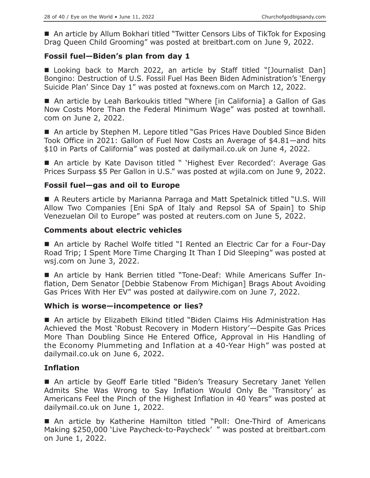■ An article by Allum Bokhari titled "Twitter Censors Libs of TikTok for Exposing Drag Queen Child Grooming" was posted at breitbart.com on June 9, 2022.

## **Fossil fuel—Biden's plan from day 1**

■ Looking back to March 2022, an article by Staff titled "[Journalist Dan] Bongino: Destruction of U.S. Fossil Fuel Has Been Biden Administration's 'Energy Suicide Plan' Since Day 1" was posted at foxnews.com on March 12, 2022.

 An article by Leah Barkoukis titled "Where [in California] a Gallon of Gas Now Costs More Than the Federal Minimum Wage" was posted at townhall. com on June 2, 2022.

■ An article by Stephen M. Lepore titled "Gas Prices Have Doubled Since Biden Took Office in 2021: Gallon of Fuel Now Costs an Average of \$4.81—and hits \$10 in Parts of California" was posted at dailymail.co.uk on June 4, 2022.

■ An article by Kate Davison titled " 'Highest Ever Recorded': Average Gas Prices Surpass \$5 Per Gallon in U.S." was posted at wjila.com on June 9, 2022.

## **Fossil fuel—gas and oil to Europe**

 A Reuters article by Marianna Parraga and Matt Spetalnick titled "U.S. Will Allow Two Companies [Eni SpA of Italy and Repsol SA of Spain] to Ship Venezuelan Oil to Europe" was posted at reuters.com on June 5, 2022.

## **Comments about electric vehicles**

■ An article by Rachel Wolfe titled "I Rented an Electric Car for a Four-Day Road Trip; I Spent More Time Charging It Than I Did Sleeping" was posted at wsj.com on June 3, 2022.

 An article by Hank Berrien titled "Tone-Deaf: While Americans Suffer Inflation, Dem Senator [Debbie Stabenow From Michigan] Brags About Avoiding Gas Prices With Her EV" was posted at dailywire.com on June 7, 2022.

## **Which is worse—incompetence or lies?**

 An article by Elizabeth Elkind titled "Biden Claims His Administration Has Achieved the Most 'Robust Recovery in Modern History'—Despite Gas Prices More Than Doubling Since He Entered Office, Approval in His Handling of the Economy Plummeting and Inflation at a 40-Year High" was posted at dailymail.co.uk on June 6, 2022.

## **Inflation**

■ An article by Geoff Earle titled "Biden's Treasury Secretary Janet Yellen Admits She Was Wrong to Say Inflation Would Only Be 'Transitory' as Americans Feel the Pinch of the Highest Inflation in 40 Years" was posted at dailymail.co.uk on June 1, 2022.

 An article by Katherine Hamilton titled "Poll: One-Third of Americans Making \$250,000 'Live Paycheck-to-Paycheck' " was posted at breitbart.com on June 1, 2022.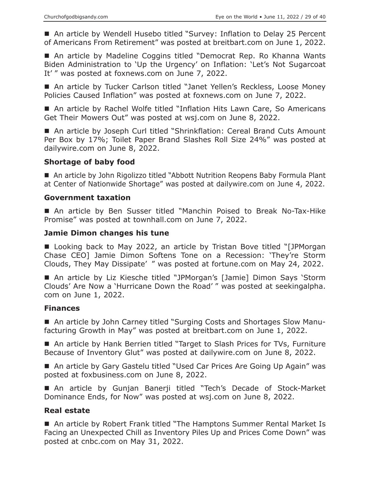■ An article by Wendell Husebo titled "Survey: Inflation to Delay 25 Percent of Americans From Retirement" was posted at breitbart.com on June 1, 2022.

■ An article by Madeline Coggins titled "Democrat Rep. Ro Khanna Wants Biden Administration to 'Up the Urgency' on Inflation: 'Let's Not Sugarcoat It' " was posted at foxnews.com on June 7, 2022.

■ An article by Tucker Carlson titled "Janet Yellen's Reckless, Loose Money Policies Caused Inflation" was posted at foxnews.com on June 7, 2022.

■ An article by Rachel Wolfe titled "Inflation Hits Lawn Care, So Americans Get Their Mowers Out" was posted at wsj.com on June 8, 2022.

■ An article by Joseph Curl titled "Shrinkflation: Cereal Brand Cuts Amount Per Box by 17%; Toilet Paper Brand Slashes Roll Size 24%" was posted at dailywire.com on June 8, 2022.

## **Shortage of baby food**

■ An article by John Rigolizzo titled "Abbott Nutrition Reopens Baby Formula Plant at Center of Nationwide Shortage" was posted at dailywire.com on June 4, 2022.

## **Government taxation**

 An article by Ben Susser titled "Manchin Poised to Break No-Tax-Hike Promise" was posted at townhall.com on June 7, 2022.

#### **Jamie Dimon changes his tune**

■ Looking back to May 2022, an article by Tristan Bove titled "[JPMorgan Chase CEO] Jamie Dimon Softens Tone on a Recession: 'They're Storm Clouds, They May Dissipate' " was posted at fortune.com on May 24, 2022.

■ An article by Liz Kiesche titled "JPMorgan's [Jamie] Dimon Says 'Storm Clouds' Are Now a 'Hurricane Down the Road' " was posted at seekingalpha. com on June 1, 2022.

#### **Finances**

■ An article by John Carney titled "Surging Costs and Shortages Slow Manufacturing Growth in May" was posted at breitbart.com on June 1, 2022.

■ An article by Hank Berrien titled "Target to Slash Prices for TVs, Furniture Because of Inventory Glut" was posted at dailywire.com on June 8, 2022.

■ An article by Gary Gastelu titled "Used Car Prices Are Going Up Again" was posted at foxbusiness.com on June 8, 2022.

 An article by Gunjan Banerji titled "Tech's Decade of Stock-Market Dominance Ends, for Now" was posted at wsj.com on June 8, 2022.

## **Real estate**

■ An article by Robert Frank titled "The Hamptons Summer Rental Market Is Facing an Unexpected Chill as Inventory Piles Up and Prices Come Down" was posted at cnbc.com on May 31, 2022.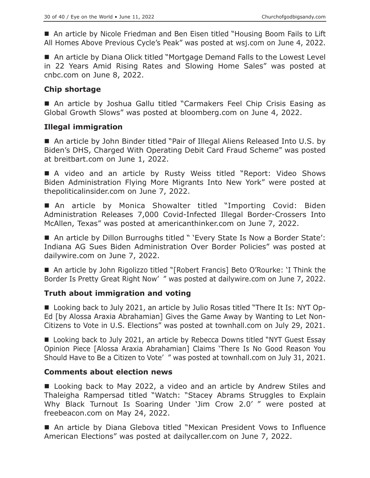■ An article by Nicole Friedman and Ben Eisen titled "Housing Boom Fails to Lift All Homes Above Previous Cycle's Peak" was posted at wsj.com on June 4, 2022.

■ An article by Diana Olick titled "Mortgage Demand Falls to the Lowest Level in 22 Years Amid Rising Rates and Slowing Home Sales" was posted at cnbc.com on June 8, 2022.

## **Chip shortage**

■ An article by Joshua Gallu titled "Carmakers Feel Chip Crisis Easing as Global Growth Slows" was posted at bloomberg.com on June 4, 2022.

## **Illegal immigration**

■ An article by John Binder titled "Pair of Illegal Aliens Released Into U.S. by Biden's DHS, Charged With Operating Debit Card Fraud Scheme" was posted at breitbart.com on June 1, 2022.

 A video and an article by Rusty Weiss titled "Report: Video Shows Biden Administration Flying More Migrants Into New York" were posted at thepoliticalinsider.com on June 7, 2022.

■ An article by Monica Showalter titled "Importing Covid: Biden Administration Releases 7,000 Covid-Infected Illegal Border-Crossers Into McAllen, Texas" was posted at americanthinker.com on June 7, 2022.

■ An article by Dillon Burroughs titled " 'Every State Is Now a Border State': Indiana AG Sues Biden Administration Over Border Policies" was posted at dailywire.com on June 7, 2022.

■ An article by John Rigolizzo titled "[Robert Francis] Beto O'Rourke: 'I Think the Border Is Pretty Great Right Now' " was posted at dailywire.com on June 7, 2022.

## **Truth about immigration and voting**

■ Looking back to July 2021, an article by Julio Rosas titled "There It Is: NYT Op-Ed [by Alossa Araxia Abrahamian] Gives the Game Away by Wanting to Let Non-Citizens to Vote in U.S. Elections" was posted at townhall.com on July 29, 2021.

■ Looking back to July 2021, an article by Rebecca Downs titled "NYT Guest Essay Opinion Piece [Alossa Araxia Abrahamian] Claims 'There Is No Good Reason You Should Have to Be a Citizen to Vote' " was posted at townhall.com on July 31, 2021.

## **Comments about election news**

■ Looking back to May 2022, a video and an article by Andrew Stiles and Thaleigha Rampersad titled "Watch: "Stacey Abrams Struggles to Explain Why Black Turnout Is Soaring Under 'Jim Crow 2.0' " were posted at freebeacon.com on May 24, 2022.

■ An article by Diana Glebova titled "Mexican President Vows to Influence American Elections" was posted at dailycaller.com on June 7, 2022.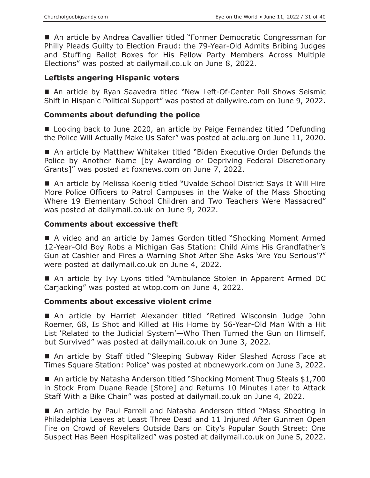■ An article by Andrea Cavallier titled "Former Democratic Congressman for Philly Pleads Guilty to Election Fraud: the 79-Year-Old Admits Bribing Judges and Stuffing Ballot Boxes for His Fellow Party Members Across Multiple Elections" was posted at dailymail.co.uk on June 8, 2022.

#### **Leftists angering Hispanic voters**

■ An article by Ryan Saavedra titled "New Left-Of-Center Poll Shows Seismic Shift in Hispanic Political Support" was posted at dailywire.com on June 9, 2022.

#### **Comments about defunding the police**

■ Looking back to June 2020, an article by Paige Fernandez titled "Defunding the Police Will Actually Make Us Safer" was posted at aclu.org on June 11, 2020.

■ An article by Matthew Whitaker titled "Biden Executive Order Defunds the Police by Another Name [by Awarding or Depriving Federal Discretionary Grants]" was posted at foxnews.com on June 7, 2022.

■ An article by Melissa Koenig titled "Uvalde School District Says It Will Hire More Police Officers to Patrol Campuses in the Wake of the Mass Shooting Where 19 Elementary School Children and Two Teachers Were Massacred" was posted at dailymail.co.uk on June 9, 2022.

#### **Comments about excessive theft**

■ A video and an article by James Gordon titled "Shocking Moment Armed 12-Year-Old Boy Robs a Michigan Gas Station: Child Aims His Grandfather's Gun at Cashier and Fires a Warning Shot After She Asks 'Are You Serious'?" were posted at dailymail.co.uk on June 4, 2022.

■ An article by Ivy Lyons titled "Ambulance Stolen in Apparent Armed DC Carjacking" was posted at wtop.com on June 4, 2022.

## **Comments about excessive violent crime**

 An article by Harriet Alexander titled "Retired Wisconsin Judge John Roemer, 68, Is Shot and Killed at His Home by 56-Year-Old Man With a Hit List 'Related to the Judicial System'—Who Then Turned the Gun on Himself, but Survived" was posted at dailymail.co.uk on June 3, 2022.

■ An article by Staff titled "Sleeping Subway Rider Slashed Across Face at Times Square Station: Police" was posted at nbcnewyork.com on June 3, 2022.

■ An article by Natasha Anderson titled "Shocking Moment Thug Steals \$1,700 in Stock From Duane Reade [Store] and Returns 10 Minutes Later to Attack Staff With a Bike Chain" was posted at dailymail.co.uk on June 4, 2022.

 An article by Paul Farrell and Natasha Anderson titled "Mass Shooting in Philadelphia Leaves at Least Three Dead and 11 Injured After Gunmen Open Fire on Crowd of Revelers Outside Bars on City's Popular South Street: One Suspect Has Been Hospitalized" was posted at dailymail.co.uk on June 5, 2022.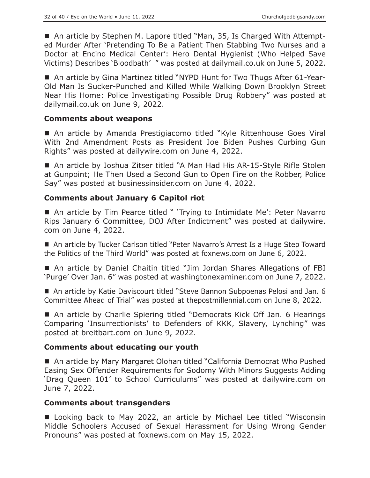■ An article by Stephen M. Lapore titled "Man, 35, Is Charged With Attempted Murder After 'Pretending To Be a Patient Then Stabbing Two Nurses and a Doctor at Encino Medical Center': Hero Dental Hygienist (Who Helped Save Victims) Describes 'Bloodbath' " was posted at dailymail.co.uk on June 5, 2022.

■ An article by Gina Martinez titled "NYPD Hunt for Two Thugs After 61-Year-Old Man Is Sucker-Punched and Killed While Walking Down Brooklyn Street Near His Home: Police Investigating Possible Drug Robbery" was posted at dailymail.co.uk on June 9, 2022.

## **Comments about weapons**

■ An article by Amanda Prestigiacomo titled "Kyle Rittenhouse Goes Viral With 2nd Amendment Posts as President Joe Biden Pushes Curbing Gun Rights" was posted at dailywire.com on June 4, 2022.

■ An article by Joshua Zitser titled "A Man Had His AR-15-Style Rifle Stolen at Gunpoint; He Then Used a Second Gun to Open Fire on the Robber, Police Say" was posted at businessinsider.com on June 4, 2022.

## **Comments about January 6 Capitol riot**

■ An article by Tim Pearce titled " 'Trying to Intimidate Me': Peter Navarro Rips January 6 Committee, DOJ After Indictment" was posted at dailywire. com on June 4, 2022.

■ An article by Tucker Carlson titled "Peter Navarro's Arrest Is a Huge Step Toward the Politics of the Third World" was posted at foxnews.com on June 6, 2022.

 An article by Daniel Chaitin titled "Jim Jordan Shares Allegations of FBI 'Purge' Over Jan. 6" was posted at washingtonexaminer.com on June 7, 2022.

■ An article by Katie Daviscourt titled "Steve Bannon Subpoenas Pelosi and Jan. 6 Committee Ahead of Trial" was posted at thepostmillennial.com on June 8, 2022.

■ An article by Charlie Spiering titled "Democrats Kick Off Jan. 6 Hearings Comparing 'Insurrectionists' to Defenders of KKK, Slavery, Lynching" was posted at breitbart.com on June 9, 2022.

## **Comments about educating our youth**

■ An article by Mary Margaret Olohan titled "California Democrat Who Pushed Easing Sex Offender Requirements for Sodomy With Minors Suggests Adding 'Drag Queen 101' to School Curriculums" was posted at dailywire.com on June 7, 2022.

## **Comments about transgenders**

■ Looking back to May 2022, an article by Michael Lee titled "Wisconsin Middle Schoolers Accused of Sexual Harassment for Using Wrong Gender Pronouns" was posted at foxnews.com on May 15, 2022.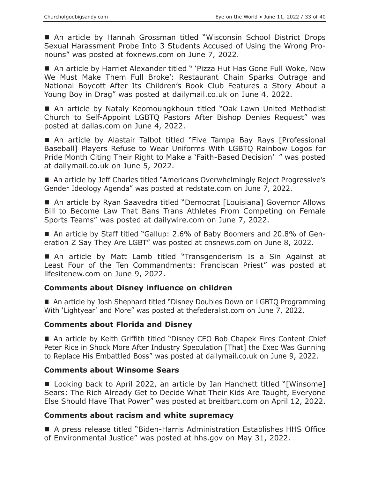■ An article by Hannah Grossman titled "Wisconsin School District Drops Sexual Harassment Probe Into 3 Students Accused of Using the Wrong Pronouns" was posted at foxnews.com on June 7, 2022.

■ An article by Harriet Alexander titled " 'Pizza Hut Has Gone Full Woke, Now We Must Make Them Full Broke': Restaurant Chain Sparks Outrage and National Boycott After Its Children's Book Club Features a Story About a Young Boy in Drag" was posted at dailymail.co.uk on June 4, 2022.

■ An article by Nataly Keomoungkhoun titled "Oak Lawn United Methodist Church to Self-Appoint LGBTQ Pastors After Bishop Denies Request" was posted at dallas.com on June 4, 2022.

 An article by Alastair Talbot titled "Five Tampa Bay Rays [Professional Baseball] Players Refuse to Wear Uniforms With LGBTQ Rainbow Logos for Pride Month Citing Their Right to Make a 'Faith-Based Decision' " was posted at dailymail.co.uk on June 5, 2022.

 An article by Jeff Charles titled "Americans Overwhelmingly Reject Progressive's Gender Ideology Agenda" was posted at redstate.com on June 7, 2022.

■ An article by Ryan Saavedra titled "Democrat [Louisiana] Governor Allows Bill to Become Law That Bans Trans Athletes From Competing on Female Sports Teams" was posted at dailywire.com on June 7, 2022.

■ An article by Staff titled "Gallup: 2.6% of Baby Boomers and 20.8% of Generation Z Say They Are LGBT" was posted at cnsnews.com on June 8, 2022.

 An article by Matt Lamb titled "Transgenderism Is a Sin Against at Least Four of the Ten Commandments: Franciscan Priest" was posted at lifesitenew.com on June 9, 2022.

## **Comments about Disney influence on children**

■ An article by Josh Shephard titled "Disney Doubles Down on LGBTQ Programming With 'Lightyear' and More" was posted at thefederalist.com on June 7, 2022.

#### **Comments about Florida and Disney**

■ An article by Keith Griffith titled "Disney CEO Bob Chapek Fires Content Chief Peter Rice in Shock More After Industry Speculation [That] the Exec Was Gunning to Replace His Embattled Boss" was posted at dailymail.co.uk on June 9, 2022.

#### **Comments about Winsome Sears**

■ Looking back to April 2022, an article by Ian Hanchett titled "[Winsome] Sears: The Rich Already Get to Decide What Their Kids Are Taught, Everyone Else Should Have That Power" was posted at breitbart.com on April 12, 2022.

## **Comments about racism and white supremacy**

 A press release titled "Biden-Harris Administration Establishes HHS Office of Environmental Justice" was posted at hhs.gov on May 31, 2022.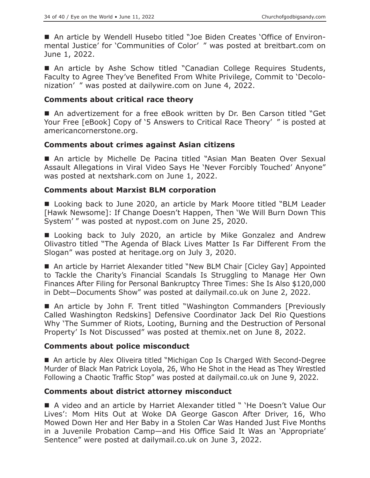■ An article by Wendell Husebo titled "Joe Biden Creates 'Office of Environmental Justice' for 'Communities of Color' " was posted at breitbart.com on June 1, 2022.

■ An article by Ashe Schow titled "Canadian College Requires Students, Faculty to Agree They've Benefited From White Privilege, Commit to 'Decolonization' " was posted at dailywire.com on June 4, 2022.

#### **Comments about critical race theory**

■ An advertizement for a free eBook written by Dr. Ben Carson titled "Get Your Free [eBook] Copy of '5 Answers to Critical Race Theory' " is posted at americancornerstone.org.

#### **Comments about crimes against Asian citizens**

■ An article by Michelle De Pacina titled "Asian Man Beaten Over Sexual Assault Allegations in Viral Video Says He 'Never Forcibly Touched' Anyone" was posted at nextshark.com on June 1, 2022.

## **Comments about Marxist BLM corporation**

■ Looking back to June 2020, an article by Mark Moore titled "BLM Leader [Hawk Newsome]: If Change Doesn't Happen, Then 'We Will Burn Down This System' " was posted at nypost.com on June 25, 2020.

■ Looking back to July 2020, an article by Mike Gonzalez and Andrew Olivastro titled "The Agenda of Black Lives Matter Is Far Different From the Slogan" was posted at heritage.org on July 3, 2020.

■ An article by Harriet Alexander titled "New BLM Chair [Cicley Gay] Appointed to Tackle the Charity's Financial Scandals Is Struggling to Manage Her Own Finances After Filing for Personal Bankruptcy Three Times: She Is Also \$120,000 in Debt—Documents Show" was posted at dailymail.co.uk on June 2, 2022.

 An article by John F. Trent titled "Washington Commanders [Previously Called Washington Redskins] Defensive Coordinator Jack Del Rio Questions Why 'The Summer of Riots, Looting, Burning and the Destruction of Personal Property' Is Not Discussed" was posted at themix.net on June 8, 2022.

## **Comments about police misconduct**

■ An article by Alex Oliveira titled "Michigan Cop Is Charged With Second-Degree Murder of Black Man Patrick Loyola, 26, Who He Shot in the Head as They Wrestled Following a Chaotic Traffic Stop" was posted at dailymail.co.uk on June 9, 2022.

## **Comments about district attorney misconduct**

 A video and an article by Harriet Alexander titled " 'He Doesn't Value Our Lives': Mom Hits Out at Woke DA George Gascon After Driver, 16, Who Mowed Down Her and Her Baby in a Stolen Car Was Handed Just Five Months in a Juvenile Probation Camp—and His Office Said It Was an 'Appropriate' Sentence" were posted at dailymail.co.uk on June 3, 2022.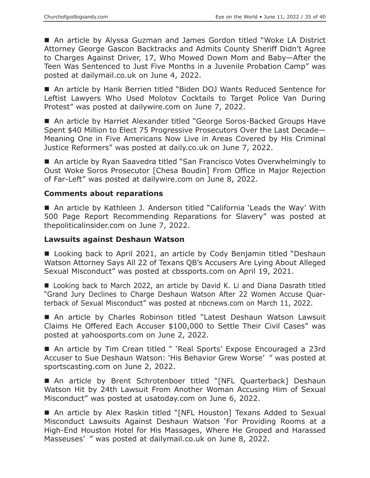■ An article by Alyssa Guzman and James Gordon titled "Woke LA District Attorney George Gascon Backtracks and Admits County Sheriff Didn't Agree to Charges Against Driver, 17, Who Mowed Down Mom and Baby—After the Teen Was Sentenced to Just Five Months in a Juvenile Probation Camp" was posted at dailymail.co.uk on June 4, 2022.

■ An article by Hank Berrien titled "Biden DOJ Wants Reduced Sentence for Leftist Lawyers Who Used Molotov Cocktails to Target Police Van During Protest" was posted at dailywire.com on June 7, 2022.

■ An article by Harriet Alexander titled "George Soros-Backed Groups Have Spent \$40 Million to Elect 75 Progressive Prosecutors Over the Last Decade— Meaning One in Five Americans Now Live in Areas Covered by His Criminal Justice Reformers" was posted at daily.co.uk on June 7, 2022.

■ An article by Ryan Saavedra titled "San Francisco Votes Overwhelmingly to Oust Woke Soros Prosecutor [Chesa Boudin] From Office in Major Rejection of Far-Left" was posted at dailywire.com on June 8, 2022.

## **Comments about reparations**

 An article by Kathleen J. Anderson titled "California 'Leads the Way' With 500 Page Report Recommending Reparations for Slavery" was posted at thepoliticalinsider.com on June 7, 2022.

## **Lawsuits against Deshaun Watson**

■ Looking back to April 2021, an article by Cody Benjamin titled "Deshaun Watson Attorney Says All 22 of Texans QB's Accusers Are Lying About Alleged Sexual Misconduct" was posted at cbssports.com on April 19, 2021.

■ Looking back to March 2022, an article by David K. Li and Diana Dasrath titled "Grand Jury Declines to Charge Deshaun Watson After 22 Women Accuse Quarterback of Sexual Misconduct" was posted at nbcnews.com on March 11, 2022.

■ An article by Charles Robinson titled "Latest Deshaun Watson Lawsuit Claims He Offered Each Accuser \$100,000 to Settle Their Civil Cases" was posted at yahoosports.com on June 2, 2022.

■ An article by Tim Crean titled " 'Real Sports' Expose Encouraged a 23rd Accuser to Sue Deshaun Watson: 'His Behavior Grew Worse' " was posted at sportscasting.com on June 2, 2022.

■ An article by Brent Schrotenboer titled "[NFL Quarterback] Deshaun Watson Hit by 24th Lawsuit From Another Woman Accusing Him of Sexual Misconduct" was posted at usatoday.com on June 6, 2022.

■ An article by Alex Raskin titled "[NFL Houston] Texans Added to Sexual Misconduct Lawsuits Against Deshaun Watson 'For Providing Rooms at a High-End Houston Hotel for His Massages, Where He Groped and Harassed Masseuses' " was posted at dailymail.co.uk on June 8, 2022.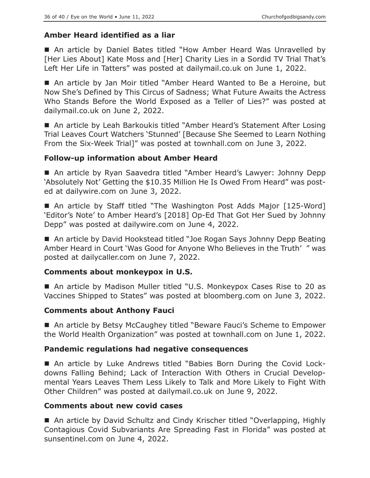# **Amber Heard identified as a liar**

■ An article by Daniel Bates titled "How Amber Heard Was Unravelled by [Her Lies About] Kate Moss and [Her] Charity Lies in a Sordid TV Trial That's Left Her Life in Tatters" was posted at dailymail.co.uk on June 1, 2022.

■ An article by Jan Moir titled "Amber Heard Wanted to Be a Heroine, but Now She's Defined by This Circus of Sadness; What Future Awaits the Actress Who Stands Before the World Exposed as a Teller of Lies?" was posted at dailymail.co.uk on June 2, 2022.

■ An article by Leah Barkoukis titled "Amber Heard's Statement After Losing Trial Leaves Court Watchers 'Stunned' [Because She Seemed to Learn Nothing From the Six-Week Trial]" was posted at townhall.com on June 3, 2022.

# **Follow-up information about Amber Heard**

 An article by Ryan Saavedra titled "Amber Heard's Lawyer: Johnny Depp 'Absolutely Not' Getting the \$10.35 Million He Is Owed From Heard" was posted at dailywire.com on June 3, 2022.

■ An article by Staff titled "The Washington Post Adds Major [125-Word] 'Editor's Note' to Amber Heard's [2018] Op-Ed That Got Her Sued by Johnny Depp" was posted at dailywire.com on June 4, 2022.

■ An article by David Hookstead titled "Joe Rogan Says Johnny Depp Beating Amber Heard in Court 'Was Good for Anyone Who Believes in the Truth' " was posted at dailycaller.com on June 7, 2022.

# **Comments about monkeypox in U.S.**

■ An article by Madison Muller titled "U.S. Monkeypox Cases Rise to 20 as Vaccines Shipped to States" was posted at bloomberg.com on June 3, 2022.

# **Comments about Anthony Fauci**

■ An article by Betsy McCaughey titled "Beware Fauci's Scheme to Empower the World Health Organization" was posted at townhall.com on June 1, 2022.

# **Pandemic regulations had negative consequences**

 An article by Luke Andrews titled "Babies Born During the Covid Lockdowns Falling Behind; Lack of Interaction With Others in Crucial Developmental Years Leaves Them Less Likely to Talk and More Likely to Fight With Other Children" was posted at dailymail.co.uk on June 9, 2022.

# **Comments about new covid cases**

■ An article by David Schultz and Cindy Krischer titled "Overlapping, Highly Contagious Covid Subvariants Are Spreading Fast in Florida" was posted at sunsentinel.com on June 4, 2022.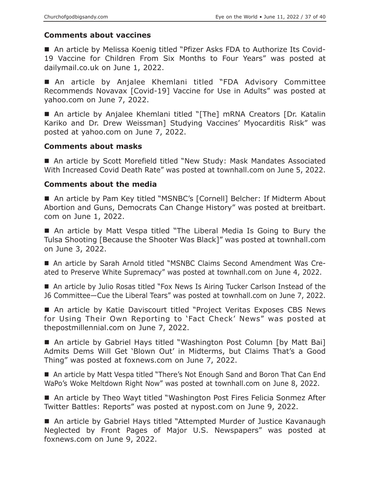## **Comments about vaccines**

■ An article by Melissa Koenig titled "Pfizer Asks FDA to Authorize Its Covid-19 Vaccine for Children From Six Months to Four Years" was posted at dailymail.co.uk on June 1, 2022.

 An article by Anjalee Khemlani titled "FDA Advisory Committee Recommends Novavax [Covid-19] Vaccine for Use in Adults" was posted at yahoo.com on June 7, 2022.

■ An article by Anjalee Khemlani titled "[The] mRNA Creators [Dr. Katalin Kariko and Dr. Drew Weissman] Studying Vaccines' Myocarditis Risk" was posted at yahoo.com on June 7, 2022.

#### **Comments about masks**

■ An article by Scott Morefield titled "New Study: Mask Mandates Associated With Increased Covid Death Rate" was posted at townhall.com on June 5, 2022.

#### **Comments about the media**

■ An article by Pam Key titled "MSNBC's [Cornell] Belcher: If Midterm About Abortion and Guns, Democrats Can Change History" was posted at breitbart. com on June 1, 2022.

■ An article by Matt Vespa titled "The Liberal Media Is Going to Bury the Tulsa Shooting [Because the Shooter Was Black]" was posted at townhall.com on June 3, 2022.

 An article by Sarah Arnold titled "MSNBC Claims Second Amendment Was Created to Preserve White Supremacy" was posted at townhall.com on June 4, 2022.

 An article by Julio Rosas titled "Fox News Is Airing Tucker Carlson Instead of the J6 Committee—Cue the Liberal Tears" was posted at townhall.com on June 7, 2022.

■ An article by Katie Daviscourt titled "Project Veritas Exposes CBS News for Using Their Own Reporting to 'Fact Check' News" was posted at thepostmillennial.com on June 7, 2022.

■ An article by Gabriel Hays titled "Washington Post Column [by Matt Bai] Admits Dems Will Get 'Blown Out' in Midterms, but Claims That's a Good Thing" was posted at foxnews.com on June 7, 2022.

■ An article by Matt Vespa titled "There's Not Enough Sand and Boron That Can End WaPo's Woke Meltdown Right Now" was posted at townhall.com on June 8, 2022.

■ An article by Theo Wayt titled "Washington Post Fires Felicia Sonmez After Twitter Battles: Reports" was posted at nypost.com on June 9, 2022.

■ An article by Gabriel Hays titled "Attempted Murder of Justice Kavanaugh Neglected by Front Pages of Major U.S. Newspapers" was posted at foxnews.com on June 9, 2022.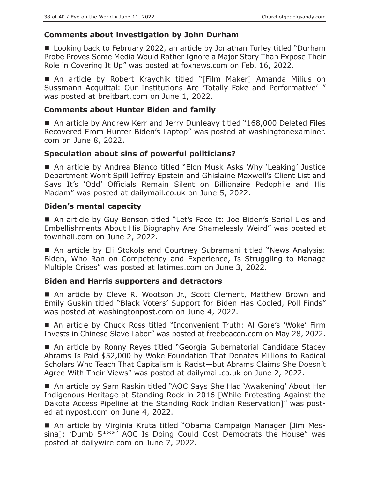## **Comments about investigation by John Durham**

■ Looking back to February 2022, an article by Jonathan Turley titled "Durham Probe Proves Some Media Would Rather Ignore a Major Story Than Expose Their Role in Covering It Up" was posted at foxnews.com on Feb. 16, 2022.

 An article by Robert Kraychik titled "[Film Maker] Amanda Milius on Sussmann Acquittal: Our Institutions Are 'Totally Fake and Performative' " was posted at breitbart.com on June 1, 2022.

## **Comments about Hunter Biden and family**

■ An article by Andrew Kerr and Jerry Dunleavy titled "168,000 Deleted Files Recovered From Hunter Biden's Laptop" was posted at washingtonexaminer. com on June 8, 2022.

## **Speculation about sins of powerful politicians?**

■ An article by Andrea Blanco titled "Elon Musk Asks Why 'Leaking' Justice Department Won't Spill Jeffrey Epstein and Ghislaine Maxwell's Client List and Says It's 'Odd' Officials Remain Silent on Billionaire Pedophile and His Madam" was posted at dailymail.co.uk on June 5, 2022.

## **Biden's mental capacity**

■ An article by Guy Benson titled "Let's Face It: Joe Biden's Serial Lies and Embellishments About His Biography Are Shamelessly Weird" was posted at townhall.com on June 2, 2022.

■ An article by Eli Stokols and Courtney Subramani titled "News Analysis: Biden, Who Ran on Competency and Experience, Is Struggling to Manage Multiple Crises" was posted at latimes.com on June 3, 2022.

## **Biden and Harris supporters and detractors**

■ An article by Cleve R. Wootson Jr., Scott Clement, Matthew Brown and Emily Guskin titled "Black Voters' Support for Biden Has Cooled, Poll Finds" was posted at washingtonpost.com on June 4, 2022.

 An article by Chuck Ross titled "Inconvenient Truth: Al Gore's 'Woke' Firm Invests in Chinese Slave Labor" was posted at freebeacon.com on May 28, 2022.

■ An article by Ronny Reyes titled "Georgia Gubernatorial Candidate Stacey Abrams Is Paid \$52,000 by Woke Foundation That Donates Millions to Radical Scholars Who Teach That Capitalism is Racist—but Abrams Claims She Doesn't Agree With Their Views" was posted at dailymail.co.uk on June 2, 2022.

■ An article by Sam Raskin titled "AOC Says She Had 'Awakening' About Her Indigenous Heritage at Standing Rock in 2016 [While Protesting Against the Dakota Access Pipeline at the Standing Rock Indian Reservation]" was posted at nypost.com on June 4, 2022.

 An article by Virginia Kruta titled "Obama Campaign Manager [Jim Messina]: 'Dumb S\*\*\*' AOC Is Doing Could Cost Democrats the House" was posted at dailywire.com on June 7, 2022.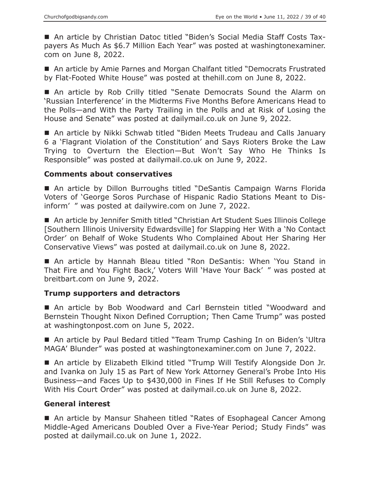An article by Christian Datoc titled "Biden's Social Media Staff Costs Taxpayers As Much As \$6.7 Million Each Year" was posted at washingtonexaminer. com on June 8, 2022.

■ An article by Amie Parnes and Morgan Chalfant titled "Democrats Frustrated by Flat-Footed White House" was posted at thehill.com on June 8, 2022.

An article by Rob Crilly titled "Senate Democrats Sound the Alarm on 'Russian Interference' in the Midterms Five Months Before Americans Head to the Polls—and With the Party Trailing in the Polls and at Risk of Losing the House and Senate" was posted at dailymail.co.uk on June 9, 2022.

■ An article by Nikki Schwab titled "Biden Meets Trudeau and Calls January 6 a 'Flagrant Violation of the Constitution' and Says Rioters Broke the Law Trying to Overturn the Election—But Won't Say Who He Thinks Is Responsible" was posted at dailymail.co.uk on June 9, 2022.

#### **Comments about conservatives**

 An article by Dillon Burroughs titled "DeSantis Campaign Warns Florida Voters of 'George Soros Purchase of Hispanic Radio Stations Meant to Disinform' " was posted at dailywire.com on June 7, 2022.

■ An article by Jennifer Smith titled "Christian Art Student Sues Illinois College [Southern Illinois University Edwardsville] for Slapping Her With a 'No Contact Order' on Behalf of Woke Students Who Complained About Her Sharing Her Conservative Views" was posted at dailymail.co.uk on June 8, 2022.

■ An article by Hannah Bleau titled "Ron DeSantis: When 'You Stand in That Fire and You Fight Back,' Voters Will 'Have Your Back' " was posted at breitbart.com on June 9, 2022.

#### **Trump supporters and detractors**

 An article by Bob Woodward and Carl Bernstein titled "Woodward and Bernstein Thought Nixon Defined Corruption; Then Came Trump" was posted at washingtonpost.com on June 5, 2022.

■ An article by Paul Bedard titled "Team Trump Cashing In on Biden's 'Ultra MAGA' Blunder" was posted at washingtonexaminer.com on June 7, 2022.

 An article by Elizabeth Elkind titled "Trump Will Testify Alongside Don Jr. and Ivanka on July 15 as Part of New York Attorney General's Probe Into His Business—and Faces Up to \$430,000 in Fines If He Still Refuses to Comply With His Court Order" was posted at dailymail.co.uk on June 8, 2022.

#### **General interest**

■ An article by Mansur Shaheen titled "Rates of Esophageal Cancer Among Middle-Aged Americans Doubled Over a Five-Year Period; Study Finds" was posted at dailymail.co.uk on June 1, 2022.